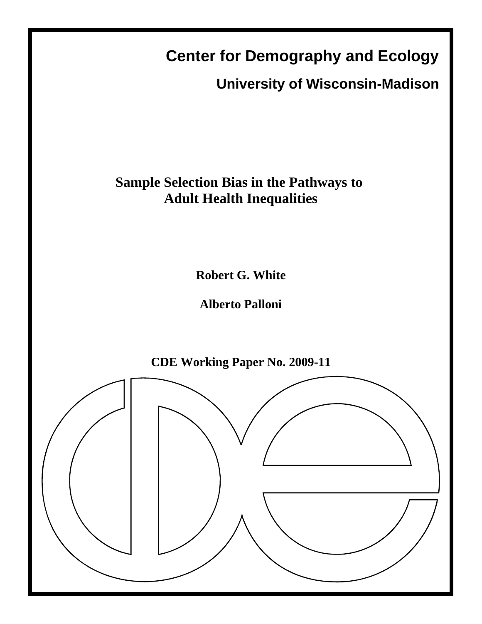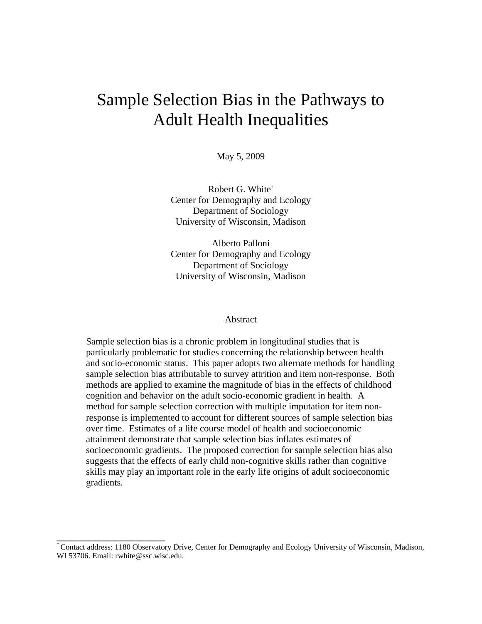# Sample Selection Bias in the Pathways to Adult Health Inequalities

May 5, 2009

Robert G. White† Center for Demography and Ecology Department of Sociology University of Wisconsin, Madison

Alberto Palloni Center for Demography and Ecology Department of Sociology University of Wisconsin, Madison

### Abstract

Sample selection bias is a chronic problem in longitudinal studies that is particularly problematic for studies concerning the relationship between health and socio-economic status. This paper adopts two alternate methods for handling sample selection bias attributable to survey attrition and item non-response. Both methods are applied to examine the magnitude of bias in the effects of childhood cognition and behavior on the adult socio-economic gradient in health. A method for sample selection correction with multiple imputation for item nonresponse is implemented to account for different sources of sample selection bias over time. Estimates of a life course model of health and socioeconomic attainment demonstrate that sample selection bias inflates estimates of socioeconomic gradients. The proposed correction for sample selection bias also suggests that the effects of early child non-cognitive skills rather than cognitive skills may play an important role in the early life origins of adult socioeconomic gradients.

**\_\_\_\_\_\_\_\_\_\_\_\_\_\_\_\_\_\_\_\_\_\_\_** 

<sup>†</sup> Contact address: 1180 Observatory Drive, Center for Demography and Ecology University of Wisconsin, Madison, WI 53706. Email: rwhite@ssc.wisc.edu.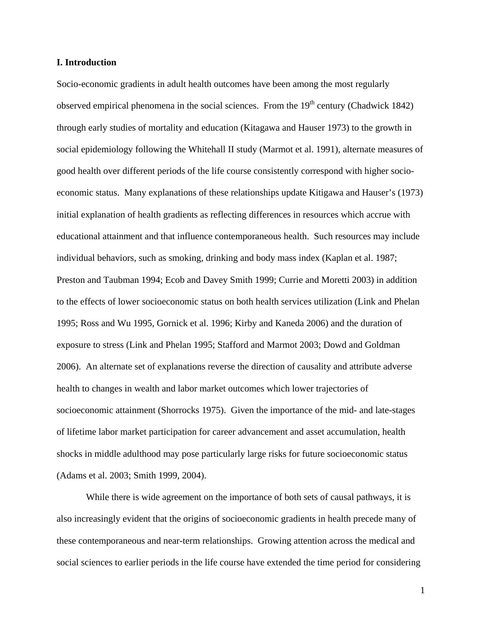# **I. Introduction**

Socio-economic gradients in adult health outcomes have been among the most regularly observed empirical phenomena in the social sciences. From the  $19<sup>th</sup>$  century (Chadwick 1842) through early studies of mortality and education (Kitagawa and Hauser 1973) to the growth in social epidemiology following the Whitehall II study (Marmot et al. 1991), alternate measures of good health over different periods of the life course consistently correspond with higher socioeconomic status. Many explanations of these relationships update Kitigawa and Hauser's (1973) initial explanation of health gradients as reflecting differences in resources which accrue with educational attainment and that influence contemporaneous health. Such resources may include individual behaviors, such as smoking, drinking and body mass index (Kaplan et al. 1987; Preston and Taubman 1994; Ecob and Davey Smith 1999; Currie and Moretti 2003) in addition to the effects of lower socioeconomic status on both health services utilization (Link and Phelan 1995; Ross and Wu 1995, Gornick et al. 1996; Kirby and Kaneda 2006) and the duration of exposure to stress (Link and Phelan 1995; Stafford and Marmot 2003; Dowd and Goldman 2006). An alternate set of explanations reverse the direction of causality and attribute adverse health to changes in wealth and labor market outcomes which lower trajectories of socioeconomic attainment (Shorrocks 1975). Given the importance of the mid- and late-stages of lifetime labor market participation for career advancement and asset accumulation, health shocks in middle adulthood may pose particularly large risks for future socioeconomic status (Adams et al. 2003; Smith 1999, 2004).

While there is wide agreement on the importance of both sets of causal pathways, it is also increasingly evident that the origins of socioeconomic gradients in health precede many of these contemporaneous and near-term relationships. Growing attention across the medical and social sciences to earlier periods in the life course have extended the time period for considering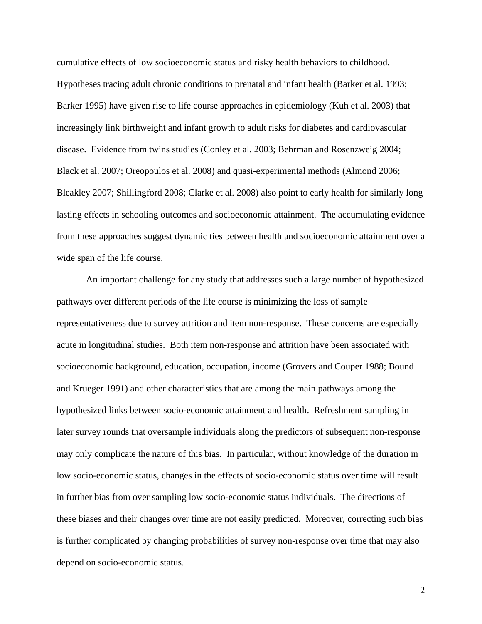cumulative effects of low socioeconomic status and risky health behaviors to childhood. Hypotheses tracing adult chronic conditions to prenatal and infant health (Barker et al. 1993; Barker 1995) have given rise to life course approaches in epidemiology (Kuh et al. 2003) that increasingly link birthweight and infant growth to adult risks for diabetes and cardiovascular disease. Evidence from twins studies (Conley et al. 2003; Behrman and Rosenzweig 2004; Black et al. 2007; Oreopoulos et al. 2008) and quasi-experimental methods (Almond 2006; Bleakley 2007; Shillingford 2008; Clarke et al. 2008) also point to early health for similarly long lasting effects in schooling outcomes and socioeconomic attainment. The accumulating evidence from these approaches suggest dynamic ties between health and socioeconomic attainment over a wide span of the life course.

An important challenge for any study that addresses such a large number of hypothesized pathways over different periods of the life course is minimizing the loss of sample representativeness due to survey attrition and item non-response. These concerns are especially acute in longitudinal studies. Both item non-response and attrition have been associated with socioeconomic background, education, occupation, income (Grovers and Couper 1988; Bound and Krueger 1991) and other characteristics that are among the main pathways among the hypothesized links between socio-economic attainment and health. Refreshment sampling in later survey rounds that oversample individuals along the predictors of subsequent non-response may only complicate the nature of this bias. In particular, without knowledge of the duration in low socio-economic status, changes in the effects of socio-economic status over time will result in further bias from over sampling low socio-economic status individuals. The directions of these biases and their changes over time are not easily predicted. Moreover, correcting such bias is further complicated by changing probabilities of survey non-response over time that may also depend on socio-economic status.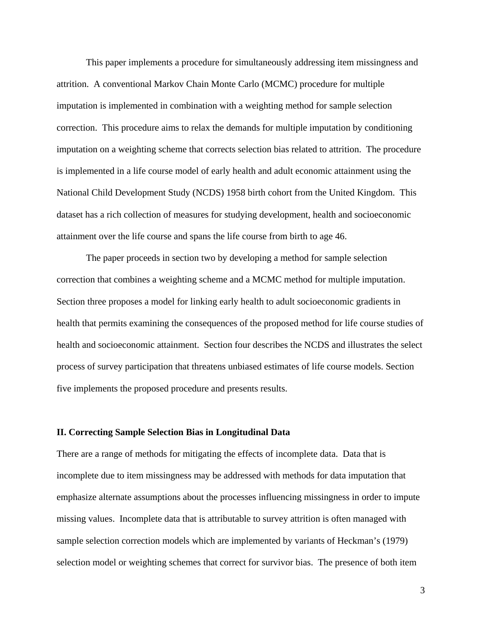This paper implements a procedure for simultaneously addressing item missingness and attrition. A conventional Markov Chain Monte Carlo (MCMC) procedure for multiple imputation is implemented in combination with a weighting method for sample selection correction. This procedure aims to relax the demands for multiple imputation by conditioning imputation on a weighting scheme that corrects selection bias related to attrition. The procedure is implemented in a life course model of early health and adult economic attainment using the National Child Development Study (NCDS) 1958 birth cohort from the United Kingdom. This dataset has a rich collection of measures for studying development, health and socioeconomic attainment over the life course and spans the life course from birth to age 46.

The paper proceeds in section two by developing a method for sample selection correction that combines a weighting scheme and a MCMC method for multiple imputation. Section three proposes a model for linking early health to adult socioeconomic gradients in health that permits examining the consequences of the proposed method for life course studies of health and socioeconomic attainment. Section four describes the NCDS and illustrates the select process of survey participation that threatens unbiased estimates of life course models. Section five implements the proposed procedure and presents results.

## **II. Correcting Sample Selection Bias in Longitudinal Data**

There are a range of methods for mitigating the effects of incomplete data. Data that is incomplete due to item missingness may be addressed with methods for data imputation that emphasize alternate assumptions about the processes influencing missingness in order to impute missing values. Incomplete data that is attributable to survey attrition is often managed with sample selection correction models which are implemented by variants of Heckman's (1979) selection model or weighting schemes that correct for survivor bias. The presence of both item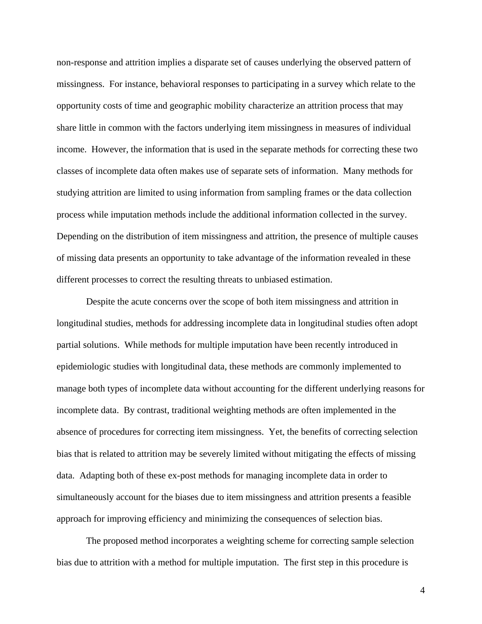non-response and attrition implies a disparate set of causes underlying the observed pattern of missingness. For instance, behavioral responses to participating in a survey which relate to the opportunity costs of time and geographic mobility characterize an attrition process that may share little in common with the factors underlying item missingness in measures of individual income. However, the information that is used in the separate methods for correcting these two classes of incomplete data often makes use of separate sets of information. Many methods for studying attrition are limited to using information from sampling frames or the data collection process while imputation methods include the additional information collected in the survey. Depending on the distribution of item missingness and attrition, the presence of multiple causes of missing data presents an opportunity to take advantage of the information revealed in these different processes to correct the resulting threats to unbiased estimation.

Despite the acute concerns over the scope of both item missingness and attrition in longitudinal studies, methods for addressing incomplete data in longitudinal studies often adopt partial solutions. While methods for multiple imputation have been recently introduced in epidemiologic studies with longitudinal data, these methods are commonly implemented to manage both types of incomplete data without accounting for the different underlying reasons for incomplete data. By contrast, traditional weighting methods are often implemented in the absence of procedures for correcting item missingness. Yet, the benefits of correcting selection bias that is related to attrition may be severely limited without mitigating the effects of missing data. Adapting both of these ex-post methods for managing incomplete data in order to simultaneously account for the biases due to item missingness and attrition presents a feasible approach for improving efficiency and minimizing the consequences of selection bias.

The proposed method incorporates a weighting scheme for correcting sample selection bias due to attrition with a method for multiple imputation. The first step in this procedure is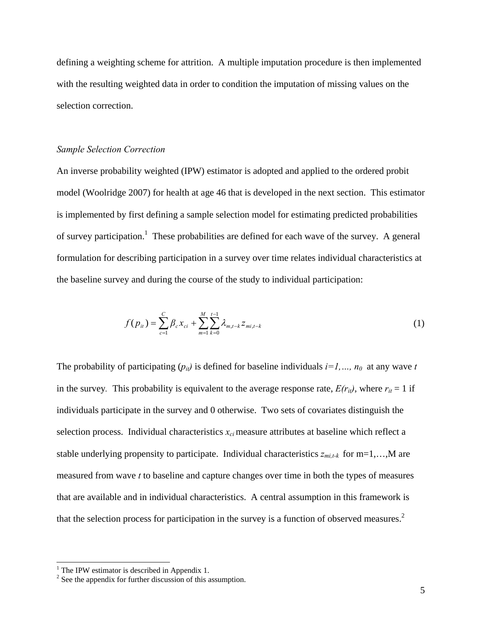defining a weighting scheme for attrition. A multiple imputation procedure is then implemented with the resulting weighted data in order to condition the imputation of missing values on the selection correction.

# *Sample Selection Correction*

An inverse probability weighted (IPW) estimator is adopted and applied to the ordered probit model (Woolridge 2007) for health at age 46 that is developed in the next section. This estimator is implemented by first defining a sample selection model for estimating predicted probabilities of survey participation.<sup>1</sup> These probabilities are defined for each wave of the survey. A general formulation for describing participation in a survey over time relates individual characteristics at the baseline survey and during the course of the study to individual participation:

$$
f(p_{it}) = \sum_{c=1}^{C} \beta_c x_{ci} + \sum_{m=1}^{M} \sum_{k=0}^{t-1} \lambda_{m,t-k} z_{mi,t-k}
$$
 (1)

The probability of participating  $(p_{ii})$  is defined for baseline individuals  $i=1, ..., n_0$  at any wave *t* in the survey. This probability is equivalent to the average response rate,  $E(r_{it})$ , where  $r_{it} = 1$  if individuals participate in the survey and 0 otherwise. Two sets of covariates distinguish the selection process. Individual characteristics  $x_{ci}$  measure attributes at baseline which reflect a stable underlying propensity to participate. Individual characteristics  $z_{mi,t-k}$  for  $m=1,...,M$  are measured from wave *t* to baseline and capture changes over time in both the types of measures that are available and in individual characteristics. A central assumption in this framework is that the selection process for participation in the survey is a function of observed measures.<sup>2</sup>

<sup>&</sup>lt;sup>1</sup> The IPW estimator is described in Appendix 1.

 $2^2$  See the appendix for further discussion of this assumption.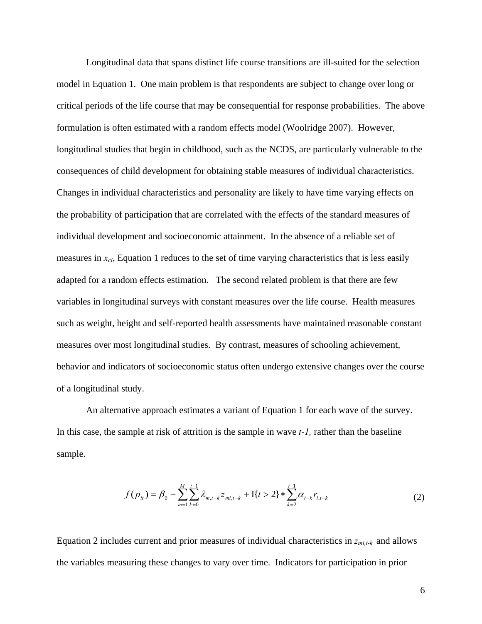Longitudinal data that spans distinct life course transitions are ill-suited for the selection model in Equation 1. One main problem is that respondents are subject to change over long or critical periods of the life course that may be consequential for response probabilities. The above formulation is often estimated with a random effects model (Woolridge 2007). However, longitudinal studies that begin in childhood, such as the NCDS, are particularly vulnerable to the consequences of child development for obtaining stable measures of individual characteristics. Changes in individual characteristics and personality are likely to have time varying effects on the probability of participation that are correlated with the effects of the standard measures of individual development and socioeconomic attainment. In the absence of a reliable set of measures in  $x_{ci}$ , Equation 1 reduces to the set of time varying characteristics that is less easily adapted for a random effects estimation. The second related problem is that there are few variables in longitudinal surveys with constant measures over the life course. Health measures such as weight, height and self-reported health assessments have maintained reasonable constant measures over most longitudinal studies. By contrast, measures of schooling achievement, behavior and indicators of socioeconomic status often undergo extensive changes over the course of a longitudinal study.

An alternative approach estimates a variant of Equation 1 for each wave of the survey. In this case, the sample at risk of attrition is the sample in wave *t-1,* rather than the baseline sample.

$$
f(p_{it}) = \beta_0 + \sum_{m=1}^{M} \sum_{k=0}^{t-1} \lambda_{m,t-k} z_{mi,t-k} + \mathcal{I}\{t > 2\} * \sum_{k=2}^{t-1} \alpha_{t-k} r_{i,t-k}
$$
(2)

Equation 2 includes current and prior measures of individual characteristics in *zmi,t-k* and allows the variables measuring these changes to vary over time. Indicators for participation in prior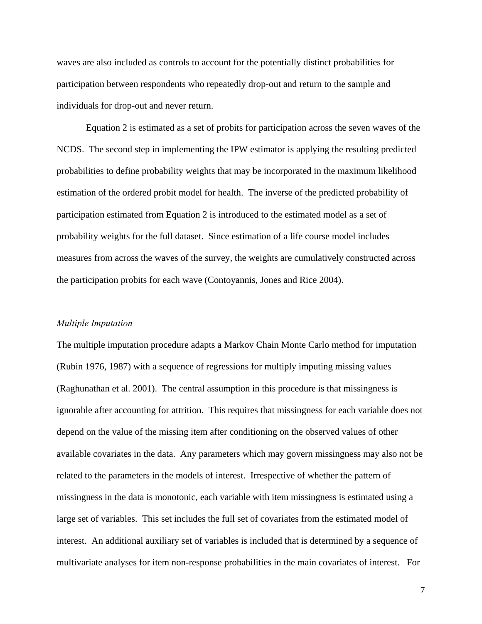waves are also included as controls to account for the potentially distinct probabilities for participation between respondents who repeatedly drop-out and return to the sample and individuals for drop-out and never return.

Equation 2 is estimated as a set of probits for participation across the seven waves of the NCDS. The second step in implementing the IPW estimator is applying the resulting predicted probabilities to define probability weights that may be incorporated in the maximum likelihood estimation of the ordered probit model for health. The inverse of the predicted probability of participation estimated from Equation 2 is introduced to the estimated model as a set of probability weights for the full dataset. Since estimation of a life course model includes measures from across the waves of the survey, the weights are cumulatively constructed across the participation probits for each wave (Contoyannis, Jones and Rice 2004).

#### *Multiple Imputation*

The multiple imputation procedure adapts a Markov Chain Monte Carlo method for imputation (Rubin 1976, 1987) with a sequence of regressions for multiply imputing missing values (Raghunathan et al. 2001). The central assumption in this procedure is that missingness is ignorable after accounting for attrition. This requires that missingness for each variable does not depend on the value of the missing item after conditioning on the observed values of other available covariates in the data. Any parameters which may govern missingness may also not be related to the parameters in the models of interest. Irrespective of whether the pattern of missingness in the data is monotonic, each variable with item missingness is estimated using a large set of variables. This set includes the full set of covariates from the estimated model of interest. An additional auxiliary set of variables is included that is determined by a sequence of multivariate analyses for item non-response probabilities in the main covariates of interest. For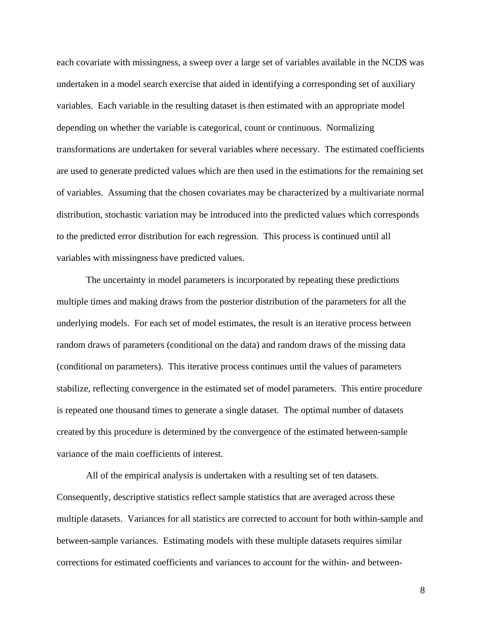each covariate with missingness, a sweep over a large set of variables available in the NCDS was undertaken in a model search exercise that aided in identifying a corresponding set of auxiliary variables. Each variable in the resulting dataset is then estimated with an appropriate model depending on whether the variable is categorical, count or continuous. Normalizing transformations are undertaken for several variables where necessary. The estimated coefficients are used to generate predicted values which are then used in the estimations for the remaining set of variables. Assuming that the chosen covariates may be characterized by a multivariate normal distribution, stochastic variation may be introduced into the predicted values which corresponds to the predicted error distribution for each regression. This process is continued until all variables with missingness have predicted values.

The uncertainty in model parameters is incorporated by repeating these predictions multiple times and making draws from the posterior distribution of the parameters for all the underlying models. For each set of model estimates, the result is an iterative process between random draws of parameters (conditional on the data) and random draws of the missing data (conditional on parameters). This iterative process continues until the values of parameters stabilize, reflecting convergence in the estimated set of model parameters. This entire procedure is repeated one thousand times to generate a single dataset. The optimal number of datasets created by this procedure is determined by the convergence of the estimated between-sample variance of the main coefficients of interest.

All of the empirical analysis is undertaken with a resulting set of ten datasets. Consequently, descriptive statistics reflect sample statistics that are averaged across these multiple datasets. Variances for all statistics are corrected to account for both within-sample and between-sample variances. Estimating models with these multiple datasets requires similar corrections for estimated coefficients and variances to account for the within- and between-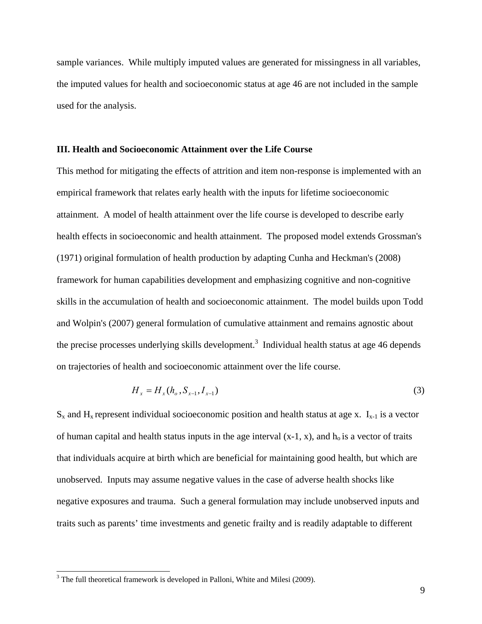sample variances. While multiply imputed values are generated for missingness in all variables, the imputed values for health and socioeconomic status at age 46 are not included in the sample used for the analysis.

# **III. Health and Socioeconomic Attainment over the Life Course**

This method for mitigating the effects of attrition and item non-response is implemented with an empirical framework that relates early health with the inputs for lifetime socioeconomic attainment. A model of health attainment over the life course is developed to describe early health effects in socioeconomic and health attainment. The proposed model extends Grossman's (1971) original formulation of health production by adapting Cunha and Heckman's (2008) framework for human capabilities development and emphasizing cognitive and non-cognitive skills in the accumulation of health and socioeconomic attainment. The model builds upon Todd and Wolpin's (2007) general formulation of cumulative attainment and remains agnostic about the precise processes underlying skills development.<sup>3</sup> Individual health status at age 46 depends on trajectories of health and socioeconomic attainment over the life course.

$$
H_x = H_x(h_o, S_{x-1}, I_{x-1})
$$
\n(3)

 $S_x$  and  $H_x$  represent individual socioeconomic position and health status at age x.  $I_{x-1}$  is a vector of human capital and health status inputs in the age interval  $(x-1, x)$ , and  $h_0$  is a vector of traits that individuals acquire at birth which are beneficial for maintaining good health, but which are unobserved. Inputs may assume negative values in the case of adverse health shocks like negative exposures and trauma. Such a general formulation may include unobserved inputs and traits such as parents' time investments and genetic frailty and is readily adaptable to different

 $3$  The full theoretical framework is developed in Palloni, White and Milesi (2009).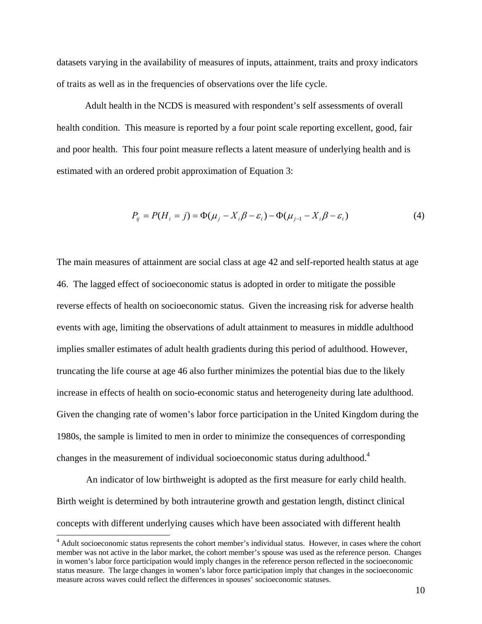datasets varying in the availability of measures of inputs, attainment, traits and proxy indicators of traits as well as in the frequencies of observations over the life cycle.

Adult health in the NCDS is measured with respondent's self assessments of overall health condition. This measure is reported by a four point scale reporting excellent, good, fair and poor health. This four point measure reflects a latent measure of underlying health and is estimated with an ordered probit approximation of Equation 3:

$$
P_{ij} = P(H_i = j) = \Phi(\mu_j - X_i \beta - \varepsilon_i) - \Phi(\mu_{j-1} - X_i \beta - \varepsilon_i)
$$
\n(4)

The main measures of attainment are social class at age 42 and self-reported health status at age 46. The lagged effect of socioeconomic status is adopted in order to mitigate the possible reverse effects of health on socioeconomic status. Given the increasing risk for adverse health events with age, limiting the observations of adult attainment to measures in middle adulthood implies smaller estimates of adult health gradients during this period of adulthood. However, truncating the life course at age 46 also further minimizes the potential bias due to the likely increase in effects of health on socio-economic status and heterogeneity during late adulthood. Given the changing rate of women's labor force participation in the United Kingdom during the 1980s, the sample is limited to men in order to minimize the consequences of corresponding changes in the measurement of individual socioeconomic status during adulthood.<sup>4</sup>

An indicator of low birthweight is adopted as the first measure for early child health. Birth weight is determined by both intrauterine growth and gestation length, distinct clinical concepts with different underlying causes which have been associated with different health

<sup>&</sup>lt;sup>4</sup> Adult socioeconomic status represents the cohort member's individual status. However, in cases where the cohort member was not active in the labor market, the cohort member's spouse was used as the reference person. Changes in women's labor force participation would imply changes in the reference person reflected in the socioeconomic status measure. The large changes in women's labor force participation imply that changes in the socioeconomic measure across waves could reflect the differences in spouses' socioeconomic statuses.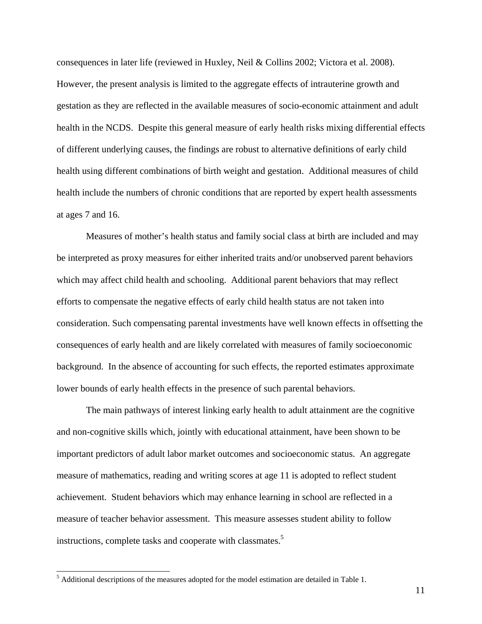consequences in later life (reviewed in Huxley, Neil & Collins 2002; Victora et al. 2008). However, the present analysis is limited to the aggregate effects of intrauterine growth and gestation as they are reflected in the available measures of socio-economic attainment and adult health in the NCDS. Despite this general measure of early health risks mixing differential effects of different underlying causes, the findings are robust to alternative definitions of early child health using different combinations of birth weight and gestation. Additional measures of child health include the numbers of chronic conditions that are reported by expert health assessments at ages 7 and 16.

Measures of mother's health status and family social class at birth are included and may be interpreted as proxy measures for either inherited traits and/or unobserved parent behaviors which may affect child health and schooling. Additional parent behaviors that may reflect efforts to compensate the negative effects of early child health status are not taken into consideration. Such compensating parental investments have well known effects in offsetting the consequences of early health and are likely correlated with measures of family socioeconomic background. In the absence of accounting for such effects, the reported estimates approximate lower bounds of early health effects in the presence of such parental behaviors.

The main pathways of interest linking early health to adult attainment are the cognitive and non-cognitive skills which, jointly with educational attainment, have been shown to be important predictors of adult labor market outcomes and socioeconomic status. An aggregate measure of mathematics, reading and writing scores at age 11 is adopted to reflect student achievement. Student behaviors which may enhance learning in school are reflected in a measure of teacher behavior assessment. This measure assesses student ability to follow instructions, complete tasks and cooperate with classmates.<sup>5</sup>

 $<sup>5</sup>$  Additional descriptions of the measures adopted for the model estimation are detailed in Table 1.</sup>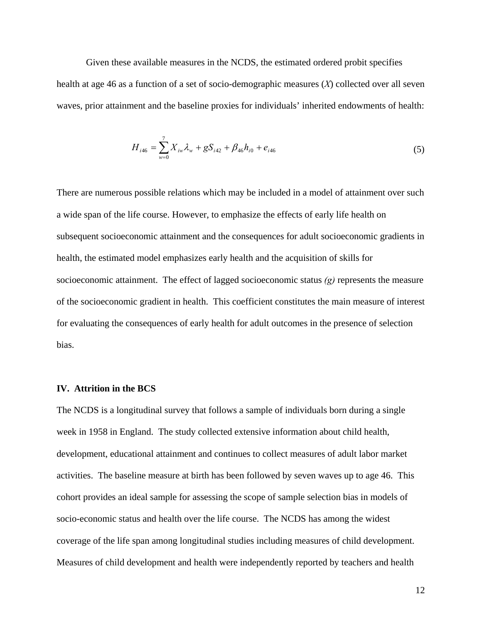Given these available measures in the NCDS, the estimated ordered probit specifies health at age 46 as a function of a set of socio-demographic measures (*X*) collected over all seven waves, prior attainment and the baseline proxies for individuals' inherited endowments of health:

$$
H_{i46} = \sum_{w=0}^{7} X_{iw} \lambda_w + gS_{i42} + \beta_{46} h_{i0} + e_{i46}
$$
 (5)

There are numerous possible relations which may be included in a model of attainment over such a wide span of the life course. However, to emphasize the effects of early life health on subsequent socioeconomic attainment and the consequences for adult socioeconomic gradients in health, the estimated model emphasizes early health and the acquisition of skills for socioeconomic attainment. The effect of lagged socioeconomic status *(g)* represents the measure of the socioeconomic gradient in health. This coefficient constitutes the main measure of interest for evaluating the consequences of early health for adult outcomes in the presence of selection bias.

# **IV. Attrition in the BCS**

The NCDS is a longitudinal survey that follows a sample of individuals born during a single week in 1958 in England. The study collected extensive information about child health, development, educational attainment and continues to collect measures of adult labor market activities. The baseline measure at birth has been followed by seven waves up to age 46. This cohort provides an ideal sample for assessing the scope of sample selection bias in models of socio-economic status and health over the life course. The NCDS has among the widest coverage of the life span among longitudinal studies including measures of child development. Measures of child development and health were independently reported by teachers and health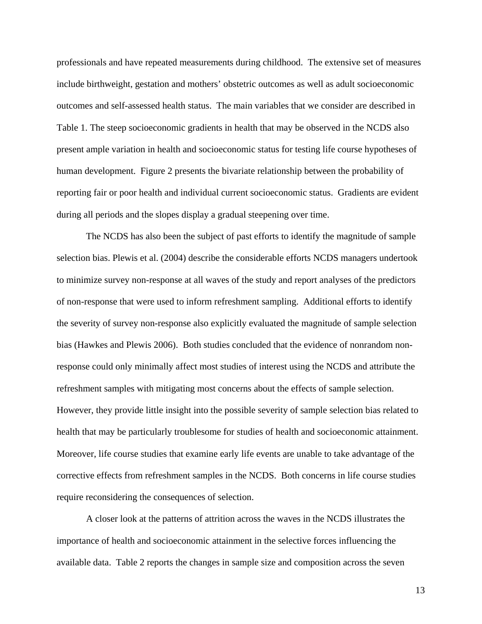professionals and have repeated measurements during childhood. The extensive set of measures include birthweight, gestation and mothers' obstetric outcomes as well as adult socioeconomic outcomes and self-assessed health status. The main variables that we consider are described in Table 1. The steep socioeconomic gradients in health that may be observed in the NCDS also present ample variation in health and socioeconomic status for testing life course hypotheses of human development. Figure 2 presents the bivariate relationship between the probability of reporting fair or poor health and individual current socioeconomic status. Gradients are evident during all periods and the slopes display a gradual steepening over time.

The NCDS has also been the subject of past efforts to identify the magnitude of sample selection bias. Plewis et al. (2004) describe the considerable efforts NCDS managers undertook to minimize survey non-response at all waves of the study and report analyses of the predictors of non-response that were used to inform refreshment sampling. Additional efforts to identify the severity of survey non-response also explicitly evaluated the magnitude of sample selection bias (Hawkes and Plewis 2006). Both studies concluded that the evidence of nonrandom nonresponse could only minimally affect most studies of interest using the NCDS and attribute the refreshment samples with mitigating most concerns about the effects of sample selection. However, they provide little insight into the possible severity of sample selection bias related to health that may be particularly troublesome for studies of health and socioeconomic attainment. Moreover, life course studies that examine early life events are unable to take advantage of the corrective effects from refreshment samples in the NCDS. Both concerns in life course studies require reconsidering the consequences of selection.

A closer look at the patterns of attrition across the waves in the NCDS illustrates the importance of health and socioeconomic attainment in the selective forces influencing the available data. Table 2 reports the changes in sample size and composition across the seven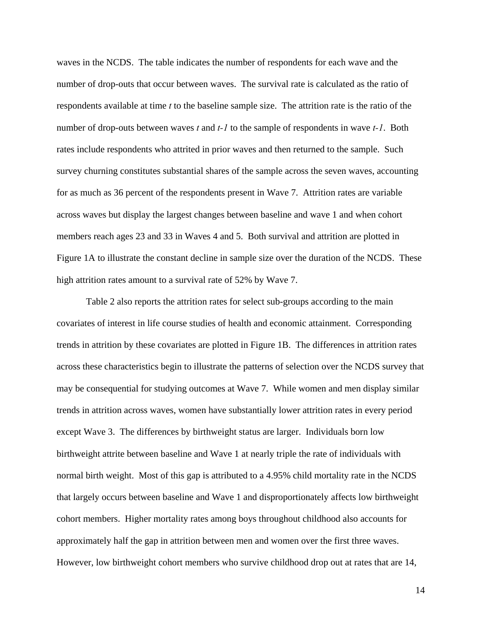waves in the NCDS. The table indicates the number of respondents for each wave and the number of drop-outs that occur between waves. The survival rate is calculated as the ratio of respondents available at time *t* to the baseline sample size. The attrition rate is the ratio of the number of drop-outs between waves *t* and *t-1* to the sample of respondents in wave *t-1*. Both rates include respondents who attrited in prior waves and then returned to the sample. Such survey churning constitutes substantial shares of the sample across the seven waves, accounting for as much as 36 percent of the respondents present in Wave 7. Attrition rates are variable across waves but display the largest changes between baseline and wave 1 and when cohort members reach ages 23 and 33 in Waves 4 and 5. Both survival and attrition are plotted in Figure 1A to illustrate the constant decline in sample size over the duration of the NCDS. These high attrition rates amount to a survival rate of 52% by Wave 7.

Table 2 also reports the attrition rates for select sub-groups according to the main covariates of interest in life course studies of health and economic attainment. Corresponding trends in attrition by these covariates are plotted in Figure 1B. The differences in attrition rates across these characteristics begin to illustrate the patterns of selection over the NCDS survey that may be consequential for studying outcomes at Wave 7. While women and men display similar trends in attrition across waves, women have substantially lower attrition rates in every period except Wave 3. The differences by birthweight status are larger. Individuals born low birthweight attrite between baseline and Wave 1 at nearly triple the rate of individuals with normal birth weight. Most of this gap is attributed to a 4.95% child mortality rate in the NCDS that largely occurs between baseline and Wave 1 and disproportionately affects low birthweight cohort members. Higher mortality rates among boys throughout childhood also accounts for approximately half the gap in attrition between men and women over the first three waves. However, low birthweight cohort members who survive childhood drop out at rates that are 14,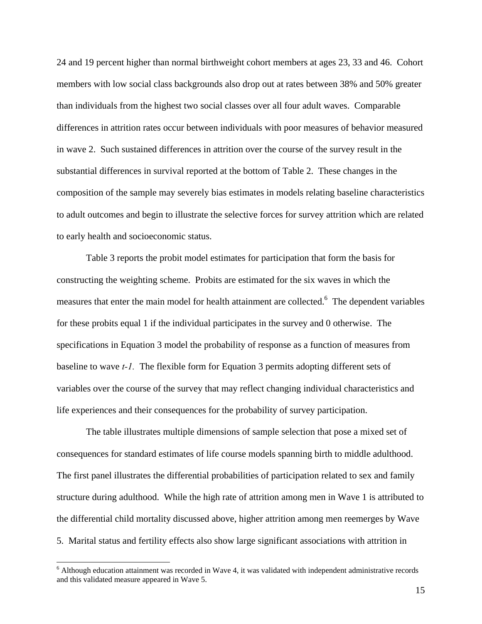24 and 19 percent higher than normal birthweight cohort members at ages 23, 33 and 46. Cohort members with low social class backgrounds also drop out at rates between 38% and 50% greater than individuals from the highest two social classes over all four adult waves. Comparable differences in attrition rates occur between individuals with poor measures of behavior measured in wave 2. Such sustained differences in attrition over the course of the survey result in the substantial differences in survival reported at the bottom of Table 2. These changes in the composition of the sample may severely bias estimates in models relating baseline characteristics to adult outcomes and begin to illustrate the selective forces for survey attrition which are related to early health and socioeconomic status.

Table 3 reports the probit model estimates for participation that form the basis for constructing the weighting scheme. Probits are estimated for the six waves in which the measures that enter the main model for health attainment are collected.<sup>6</sup> The dependent variables for these probits equal 1 if the individual participates in the survey and 0 otherwise. The specifications in Equation 3 model the probability of response as a function of measures from baseline to wave *t-1.* The flexible form for Equation 3 permits adopting different sets of variables over the course of the survey that may reflect changing individual characteristics and life experiences and their consequences for the probability of survey participation.

The table illustrates multiple dimensions of sample selection that pose a mixed set of consequences for standard estimates of life course models spanning birth to middle adulthood. The first panel illustrates the differential probabilities of participation related to sex and family structure during adulthood. While the high rate of attrition among men in Wave 1 is attributed to the differential child mortality discussed above, higher attrition among men reemerges by Wave 5. Marital status and fertility effects also show large significant associations with attrition in

 $6$  Although education attainment was recorded in Wave 4, it was validated with independent administrative records and this validated measure appeared in Wave 5.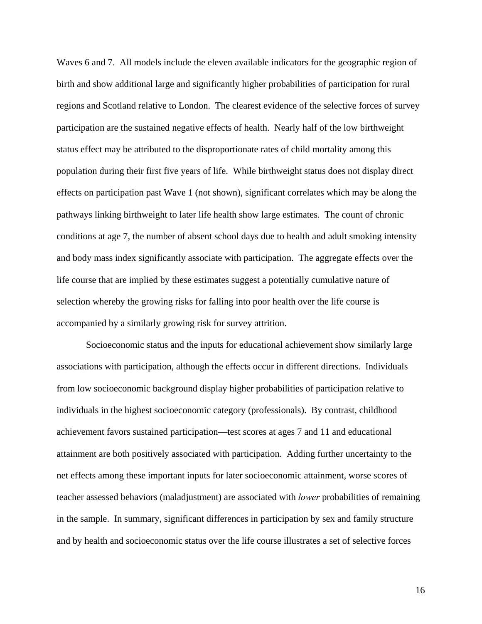Waves 6 and 7. All models include the eleven available indicators for the geographic region of birth and show additional large and significantly higher probabilities of participation for rural regions and Scotland relative to London. The clearest evidence of the selective forces of survey participation are the sustained negative effects of health. Nearly half of the low birthweight status effect may be attributed to the disproportionate rates of child mortality among this population during their first five years of life. While birthweight status does not display direct effects on participation past Wave 1 (not shown), significant correlates which may be along the pathways linking birthweight to later life health show large estimates. The count of chronic conditions at age 7, the number of absent school days due to health and adult smoking intensity and body mass index significantly associate with participation. The aggregate effects over the life course that are implied by these estimates suggest a potentially cumulative nature of selection whereby the growing risks for falling into poor health over the life course is accompanied by a similarly growing risk for survey attrition.

Socioeconomic status and the inputs for educational achievement show similarly large associations with participation, although the effects occur in different directions. Individuals from low socioeconomic background display higher probabilities of participation relative to individuals in the highest socioeconomic category (professionals). By contrast, childhood achievement favors sustained participation—test scores at ages 7 and 11 and educational attainment are both positively associated with participation. Adding further uncertainty to the net effects among these important inputs for later socioeconomic attainment, worse scores of teacher assessed behaviors (maladjustment) are associated with *lower* probabilities of remaining in the sample. In summary, significant differences in participation by sex and family structure and by health and socioeconomic status over the life course illustrates a set of selective forces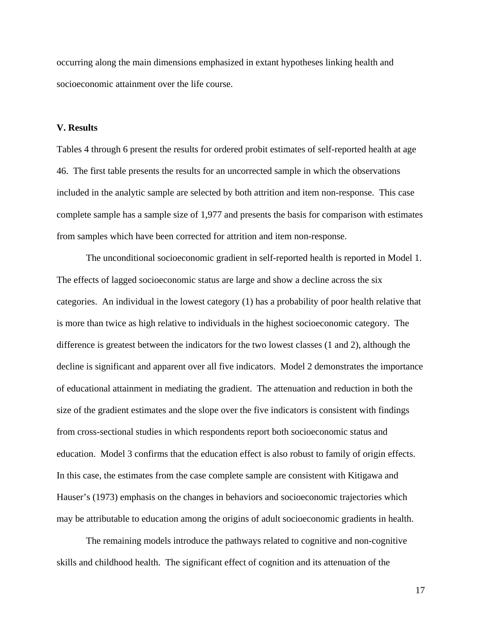occurring along the main dimensions emphasized in extant hypotheses linking health and socioeconomic attainment over the life course.

# **V. Results**

Tables 4 through 6 present the results for ordered probit estimates of self-reported health at age 46. The first table presents the results for an uncorrected sample in which the observations included in the analytic sample are selected by both attrition and item non-response. This case complete sample has a sample size of 1,977 and presents the basis for comparison with estimates from samples which have been corrected for attrition and item non-response.

The unconditional socioeconomic gradient in self-reported health is reported in Model 1. The effects of lagged socioeconomic status are large and show a decline across the six categories. An individual in the lowest category (1) has a probability of poor health relative that is more than twice as high relative to individuals in the highest socioeconomic category. The difference is greatest between the indicators for the two lowest classes (1 and 2), although the decline is significant and apparent over all five indicators. Model 2 demonstrates the importance of educational attainment in mediating the gradient. The attenuation and reduction in both the size of the gradient estimates and the slope over the five indicators is consistent with findings from cross-sectional studies in which respondents report both socioeconomic status and education. Model 3 confirms that the education effect is also robust to family of origin effects. In this case, the estimates from the case complete sample are consistent with Kitigawa and Hauser's (1973) emphasis on the changes in behaviors and socioeconomic trajectories which may be attributable to education among the origins of adult socioeconomic gradients in health.

The remaining models introduce the pathways related to cognitive and non-cognitive skills and childhood health. The significant effect of cognition and its attenuation of the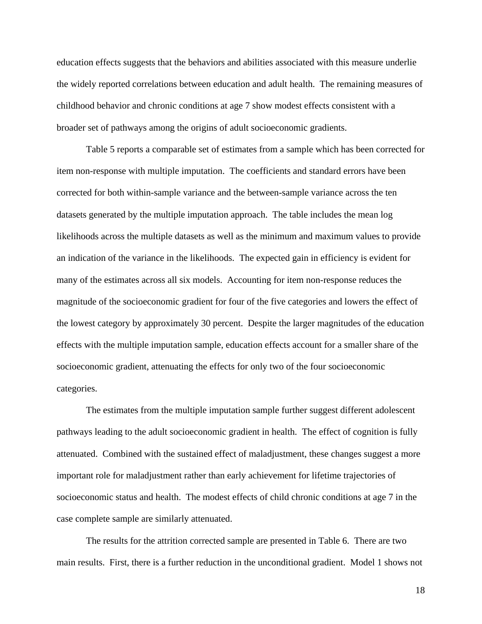education effects suggests that the behaviors and abilities associated with this measure underlie the widely reported correlations between education and adult health. The remaining measures of childhood behavior and chronic conditions at age 7 show modest effects consistent with a broader set of pathways among the origins of adult socioeconomic gradients.

Table 5 reports a comparable set of estimates from a sample which has been corrected for item non-response with multiple imputation. The coefficients and standard errors have been corrected for both within-sample variance and the between-sample variance across the ten datasets generated by the multiple imputation approach. The table includes the mean log likelihoods across the multiple datasets as well as the minimum and maximum values to provide an indication of the variance in the likelihoods. The expected gain in efficiency is evident for many of the estimates across all six models. Accounting for item non-response reduces the magnitude of the socioeconomic gradient for four of the five categories and lowers the effect of the lowest category by approximately 30 percent. Despite the larger magnitudes of the education effects with the multiple imputation sample, education effects account for a smaller share of the socioeconomic gradient, attenuating the effects for only two of the four socioeconomic categories.

The estimates from the multiple imputation sample further suggest different adolescent pathways leading to the adult socioeconomic gradient in health. The effect of cognition is fully attenuated. Combined with the sustained effect of maladjustment, these changes suggest a more important role for maladjustment rather than early achievement for lifetime trajectories of socioeconomic status and health. The modest effects of child chronic conditions at age 7 in the case complete sample are similarly attenuated.

The results for the attrition corrected sample are presented in Table 6. There are two main results. First, there is a further reduction in the unconditional gradient. Model 1 shows not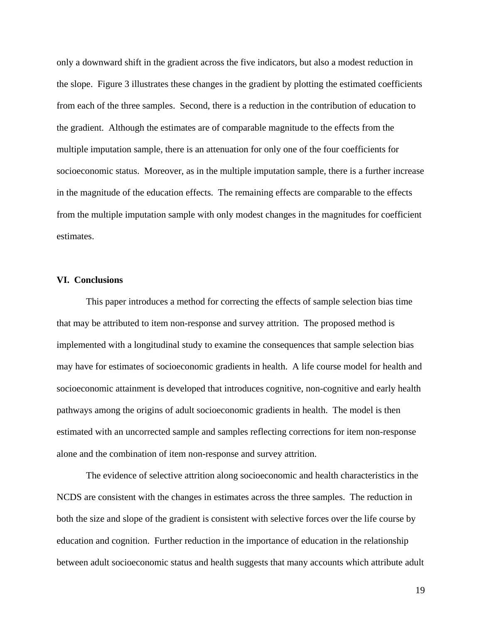only a downward shift in the gradient across the five indicators, but also a modest reduction in the slope. Figure 3 illustrates these changes in the gradient by plotting the estimated coefficients from each of the three samples. Second, there is a reduction in the contribution of education to the gradient. Although the estimates are of comparable magnitude to the effects from the multiple imputation sample, there is an attenuation for only one of the four coefficients for socioeconomic status. Moreover, as in the multiple imputation sample, there is a further increase in the magnitude of the education effects. The remaining effects are comparable to the effects from the multiple imputation sample with only modest changes in the magnitudes for coefficient estimates.

# **VI. Conclusions**

This paper introduces a method for correcting the effects of sample selection bias time that may be attributed to item non-response and survey attrition. The proposed method is implemented with a longitudinal study to examine the consequences that sample selection bias may have for estimates of socioeconomic gradients in health. A life course model for health and socioeconomic attainment is developed that introduces cognitive, non-cognitive and early health pathways among the origins of adult socioeconomic gradients in health. The model is then estimated with an uncorrected sample and samples reflecting corrections for item non-response alone and the combination of item non-response and survey attrition.

The evidence of selective attrition along socioeconomic and health characteristics in the NCDS are consistent with the changes in estimates across the three samples. The reduction in both the size and slope of the gradient is consistent with selective forces over the life course by education and cognition. Further reduction in the importance of education in the relationship between adult socioeconomic status and health suggests that many accounts which attribute adult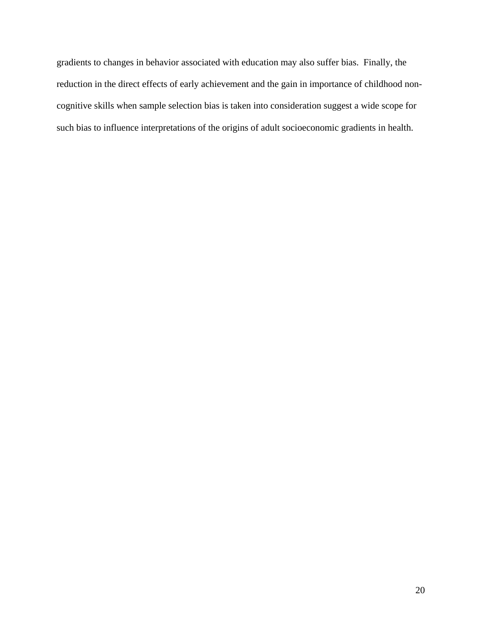gradients to changes in behavior associated with education may also suffer bias. Finally, the reduction in the direct effects of early achievement and the gain in importance of childhood noncognitive skills when sample selection bias is taken into consideration suggest a wide scope for such bias to influence interpretations of the origins of adult socioeconomic gradients in health.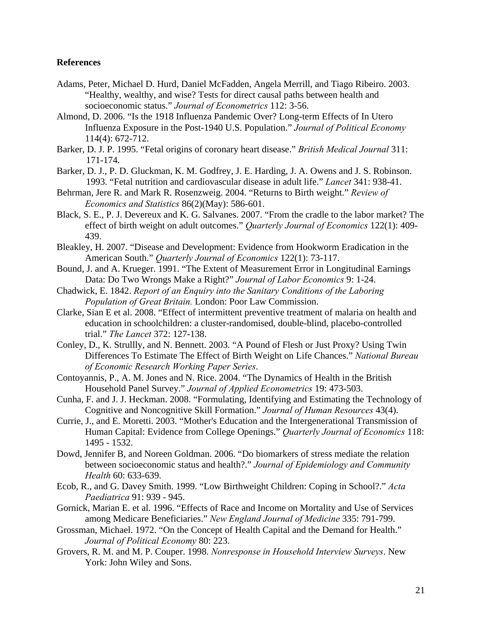# **References**

- Adams, Peter, Michael D. Hurd, Daniel McFadden, Angela Merrill, and Tiago Ribeiro. 2003. "Healthy, wealthy, and wise? Tests for direct causal paths between health and socioeconomic status." *Journal of Econometrics* 112: 3-56.
- Almond, D. 2006. "Is the 1918 Influenza Pandemic Over? Long-term Effects of In Utero Influenza Exposure in the Post-1940 U.S. Population." *Journal of Political Economy* 114(4): 672-712.
- Barker, D. J. P. 1995. "Fetal origins of coronary heart disease." *British Medical Journal* 311: 171-174.
- Barker, D. J., P. D. Gluckman, K. M. Godfrey, J. E. Harding, J. A. Owens and J. S. Robinson. 1993. "Fetal nutrition and cardiovascular disease in adult life." *Lancet* 341: 938-41.
- Behrman, Jere R. and Mark R. Rosenzweig. 2004. "Returns to Birth weight." *Review of Economics and Statistics* 86(2)(May): 586-601.
- Black, S. E., P. J. Devereux and K. G. Salvanes. 2007. "From the cradle to the labor market? The effect of birth weight on adult outcomes." *Quarterly Journal of Economics* 122(1): 409- 439.
- Bleakley, H. 2007. "Disease and Development: Evidence from Hookworm Eradication in the American South." *Quarterly Journal of Economics* 122(1): 73-117.
- Bound, J. and A. Krueger. 1991. "The Extent of Measurement Error in Longitudinal Earnings Data: Do Two Wrongs Make a Right?" *Journal of Labor Economics* 9: 1-24.
- Chadwick, E. 1842. *Report of an Enquiry into the Sanitary Conditions of the Laboring Population of Great Britain.* London: Poor Law Commission.
- Clarke, Sian E et al. 2008. "Effect of intermittent preventive treatment of malaria on health and education in schoolchildren: a cluster-randomised, double-blind, placebo-controlled trial." *The Lancet* 372: 127-138.
- Conley, D., K. Strullly, and N. Bennett. 2003. "A Pound of Flesh or Just Proxy? Using Twin Differences To Estimate The Effect of Birth Weight on Life Chances." *National Bureau of Economic Research Working Paper Series*.
- Contoyannis, P., A. M. Jones and N. Rice. 2004. "The Dynamics of Health in the British Household Panel Survey." *Journal of Applied Econometrics* 19: 473-503.
- Cunha, F. and J. J. Heckman. 2008. "Formulating, Identifying and Estimating the Technology of Cognitive and Noncognitive Skill Formation." *Journal of Human Resources* 43(4).
- Currie, J., and E. Moretti. 2003. "Mother's Education and the Intergenerational Transmission of Human Capital: Evidence from College Openings." *Quarterly Journal of Economics* 118: 1495 - 1532.
- Dowd, Jennifer B, and Noreen Goldman. 2006. "Do biomarkers of stress mediate the relation between socioeconomic status and health?." *Journal of Epidemiology and Community Health* 60: 633-639.
- Ecob, R., and G. Davey Smith. 1999. "Low Birthweight Children: Coping in School?." *Acta Paediatrica* 91: 939 - 945.
- Gornick, Marian E. et al. 1996. "Effects of Race and Income on Mortality and Use of Services among Medicare Beneficiaries." *New England Journal of Medicine* 335: 791-799.
- Grossman, Michael. 1972. "On the Concept of Health Capital and the Demand for Health." *Journal of Political Economy* 80: 223.
- Grovers, R. M. and M. P. Couper. 1998. *Nonresponse in Household Interview Surveys*. New York: John Wiley and Sons.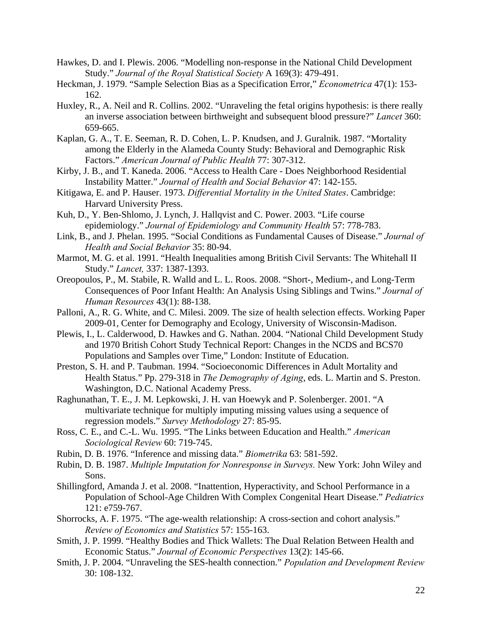- Hawkes, D. and I. Plewis. 2006. "Modelling non-response in the National Child Development Study." *Journal of the Royal Statistical Society* A 169(3): 479-491.
- Heckman, J. 1979. "Sample Selection Bias as a Specification Error," *Econometrica* 47(1): 153- 162.
- Huxley, R., A. Neil and R. Collins. 2002. "Unraveling the fetal origins hypothesis: is there really an inverse association between birthweight and subsequent blood pressure?" *Lancet* 360: 659-665.
- Kaplan, G. A., T. E. Seeman, R. D. Cohen, L. P. Knudsen, and J. Guralnik. 1987. "Mortality among the Elderly in the Alameda County Study: Behavioral and Demographic Risk Factors." *American Journal of Public Health* 77: 307-312.
- Kirby, J. B., and T. Kaneda. 2006. "Access to Health Care Does Neighborhood Residential Instability Matter." *Journal of Health and Social Behavior* 47: 142-155.
- Kitigawa, E. and P. Hauser. 1973. *Differential Mortality in the United States*. Cambridge: Harvard University Press.
- Kuh, D., Y. Ben-Shlomo, J. Lynch, J. Hallqvist and C. Power. 2003. "Life course epidemiology." *Journal of Epidemiology and Community Health* 57: 778-783.
- Link, B., and J. Phelan. 1995. "Social Conditions as Fundamental Causes of Disease." *Journal of Health and Social Behavior* 35: 80-94.
- Marmot, M. G. et al. 1991. "Health Inequalities among British Civil Servants: The Whitehall II Study." *Lancet,* 337: 1387-1393.
- Oreopoulos, P., M. Stabile, R. Walld and L. L. Roos. 2008. "Short-, Medium-, and Long-Term Consequences of Poor Infant Health: An Analysis Using Siblings and Twins." *Journal of Human Resources* 43(1): 88-138.
- Palloni, A., R. G. White, and C. Milesi. 2009. The size of health selection effects. Working Paper 2009-01, Center for Demography and Ecology, University of Wisconsin-Madison.
- Plewis, I., L. Calderwood, D. Hawkes and G. Nathan. 2004. "National Child Development Study and 1970 British Cohort Study Technical Report: Changes in the NCDS and BCS70 Populations and Samples over Time," London: Institute of Education.
- Preston, S. H. and P. Taubman. 1994. "Socioeconomic Differences in Adult Mortality and Health Status." Pp. 279-318 in *The Demography of Aging*, eds. L. Martin and S. Preston. Washington, D.C. National Academy Press.
- Raghunathan, T. E., J. M. Lepkowski, J. H. van Hoewyk and P. Solenberger. 2001. "A multivariate technique for multiply imputing missing values using a sequence of regression models." *Survey Methodology* 27: 85-95.
- Ross, C. E., and C.-L. Wu. 1995. "The Links between Education and Health." *American Sociological Review* 60: 719-745.
- Rubin, D. B. 1976. "Inference and missing data." *Biometrika* 63: 581-592.
- Rubin, D. B. 1987. *Multiple Imputation for Nonresponse in Surveys.* New York: John Wiley and Sons.
- Shillingford, Amanda J. et al. 2008. "Inattention, Hyperactivity, and School Performance in a Population of School-Age Children With Complex Congenital Heart Disease." *Pediatrics* 121: e759-767.
- Shorrocks, A. F. 1975. "The age-wealth relationship: A cross-section and cohort analysis." *Review of Economics and Statistics* 57: 155-163.
- Smith, J. P. 1999. "Healthy Bodies and Thick Wallets: The Dual Relation Between Health and Economic Status." *Journal of Economic Perspectives* 13(2): 145-66.
- Smith, J. P. 2004. "Unraveling the SES-health connection." *Population and Development Review* 30: 108-132.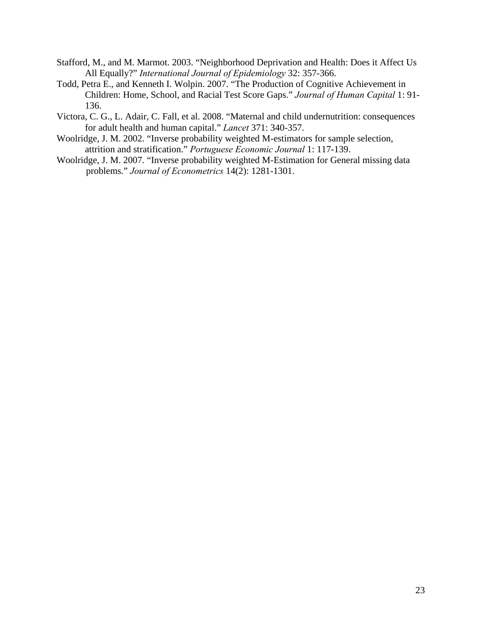- Stafford, M., and M. Marmot. 2003. "Neighborhood Deprivation and Health: Does it Affect Us All Equally?" *International Journal of Epidemiology* 32: 357-366.
- Todd, Petra E., and Kenneth I. Wolpin. 2007. "The Production of Cognitive Achievement in Children: Home, School, and Racial Test Score Gaps." *Journal of Human Capital* 1: 91- 136.
- Victora, C. G., L. Adair, C. Fall, et al. 2008. "Maternal and child undernutrition: consequences for adult health and human capital." *Lancet* 371: 340-357.
- Woolridge, J. M. 2002. "Inverse probability weighted M-estimators for sample selection, attrition and stratification." *Portuguese Economic Journal* 1: 117-139.
- Woolridge, J. M. 2007. "Inverse probability weighted M-Estimation for General missing data problems." *Journal of Econometrics* 14(2): 1281-1301.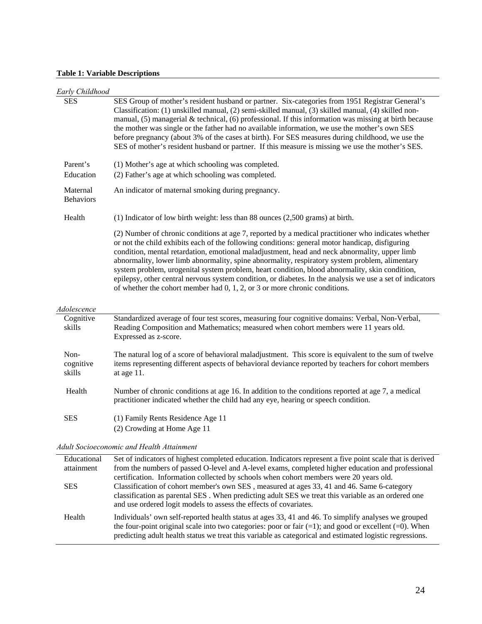### **Table 1: Variable Descriptions**

| Early Childhood              |                                                                                                                                                                                                                                                                                                                                                                                                                                                                                                                                                                                                                                                                                                             |
|------------------------------|-------------------------------------------------------------------------------------------------------------------------------------------------------------------------------------------------------------------------------------------------------------------------------------------------------------------------------------------------------------------------------------------------------------------------------------------------------------------------------------------------------------------------------------------------------------------------------------------------------------------------------------------------------------------------------------------------------------|
| <b>SES</b>                   | SES Group of mother's resident husband or partner. Six-categories from 1951 Registrar General's<br>Classification: (1) unskilled manual, (2) semi-skilled manual, (3) skilled manual, (4) skilled non-<br>manual, $(5)$ managerial & technical, $(6)$ professional. If this information was missing at birth because<br>the mother was single or the father had no available information, we use the mother's own SES<br>before pregnancy (about 3% of the cases at birth). For SES measures during childhood, we use the<br>SES of mother's resident husband or partner. If this measure is missing we use the mother's SES.                                                                               |
| Parent's                     | (1) Mother's age at which schooling was completed.                                                                                                                                                                                                                                                                                                                                                                                                                                                                                                                                                                                                                                                          |
| Education                    | (2) Father's age at which schooling was completed.                                                                                                                                                                                                                                                                                                                                                                                                                                                                                                                                                                                                                                                          |
| Maternal<br><b>Behaviors</b> | An indicator of maternal smoking during pregnancy.                                                                                                                                                                                                                                                                                                                                                                                                                                                                                                                                                                                                                                                          |
| Health                       | (1) Indicator of low birth weight: less than 88 ounces (2,500 grams) at birth.                                                                                                                                                                                                                                                                                                                                                                                                                                                                                                                                                                                                                              |
|                              | (2) Number of chronic conditions at age 7, reported by a medical practitioner who indicates whether<br>or not the child exhibits each of the following conditions: general motor handicap, disfiguring<br>condition, mental retardation, emotional maladjustment, head and neck abnormality, upper limb<br>abnormality, lower limb abnormality, spine abnormality, respiratory system problem, alimentary<br>system problem, urogenital system problem, heart condition, blood abnormality, skin condition,<br>epilepsy, other central nervous system condition, or diabetes. In the analysis we use a set of indicators<br>of whether the cohort member had $0, 1, 2$ , or $3$ or more chronic conditions. |
| Adolescence                  |                                                                                                                                                                                                                                                                                                                                                                                                                                                                                                                                                                                                                                                                                                             |
| Cognitive<br>skills          | Standardized average of four test scores, measuring four cognitive domains: Verbal, Non-Verbal,<br>Reading Composition and Mathematics; measured when cohort members were 11 years old.<br>Expressed as z-score.                                                                                                                                                                                                                                                                                                                                                                                                                                                                                            |
| Non-<br>cognitive<br>skills  | The natural log of a score of behavioral maladjustment. This score is equivalent to the sum of twelve<br>items representing different aspects of behavioral deviance reported by teachers for cohort members<br>at age 11.                                                                                                                                                                                                                                                                                                                                                                                                                                                                                  |
| Health                       | Number of chronic conditions at age 16. In addition to the conditions reported at age 7, a medical<br>practitioner indicated whether the child had any eye, hearing or speech condition.                                                                                                                                                                                                                                                                                                                                                                                                                                                                                                                    |
| <b>SES</b>                   | (1) Family Rents Residence Age 11                                                                                                                                                                                                                                                                                                                                                                                                                                                                                                                                                                                                                                                                           |
|                              | (2) Crowding at Home Age 11                                                                                                                                                                                                                                                                                                                                                                                                                                                                                                                                                                                                                                                                                 |
|                              | Adult Socioeconomic and Health Attainment                                                                                                                                                                                                                                                                                                                                                                                                                                                                                                                                                                                                                                                                   |
| Educational<br>attainment    | Set of indicators of highest completed education. Indicators represent a five point scale that is derived<br>from the numbers of passed O-level and A-level exams, completed higher education and professional                                                                                                                                                                                                                                                                                                                                                                                                                                                                                              |

|     | certification. Information collected by schools when cohort members were 20 years old.             |
|-----|----------------------------------------------------------------------------------------------------|
| SES | Classification of cohort member's own SES, measured at ages 33, 41 and 46. Same 6-category         |
|     | classification as parental SES. When predicting adult SES we treat this variable as an ordered one |
|     | and use ordered logit models to assess the effects of covariates.                                  |
|     |                                                                                                    |

Health Individuals' own self-reported health status at ages 33, 41 and 46. To simplify analyses we grouped the four-point original scale into two categories: poor or fair  $(=1)$ ; and good or excellent  $(=0)$ . When predicting adult health status we treat this variable as categorical and estimated logistic regressions.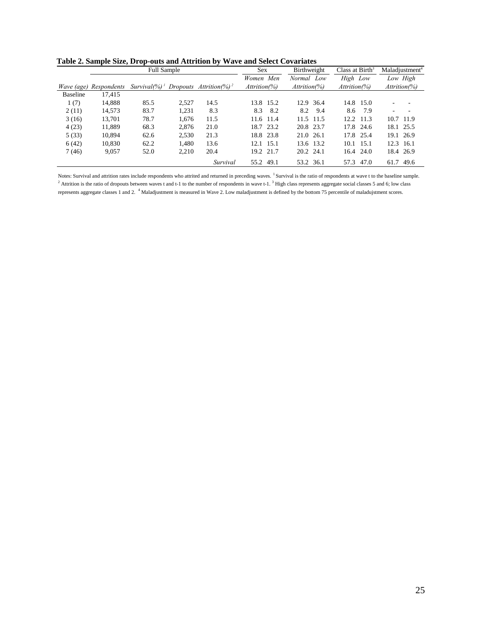| Table 2. Sample Size, Drop-outs and Attrition by Wave and Select Covariates |
|-----------------------------------------------------------------------------|
|-----------------------------------------------------------------------------|

|                 |                               | <b>Full Sample</b>                           |       |                                    | Sex              | Birthweight      | Class at $Birth3$ | Maladiustment <sup>4</sup> |
|-----------------|-------------------------------|----------------------------------------------|-------|------------------------------------|------------------|------------------|-------------------|----------------------------|
|                 |                               |                                              |       |                                    | Men<br>Women     | Normal Low       | High Low          | Low High                   |
|                 | <i>Wave (age) Respondents</i> | $Survival$ (%) <sup><math>\perp</math></sup> |       | Dropouts Attrition(%) <sup>2</sup> | $Attention(\% )$ | $Attention(\% )$ | $Attention(\% )$  | $Attention(\%)$            |
| <b>Baseline</b> | 17,415                        |                                              |       |                                    |                  |                  |                   |                            |
| 1(7)            | 14,888                        | 85.5                                         | 2.527 | 14.5                               | 13.8 15.2        | 12.9 36.4        | 14.8 15.0         |                            |
| 2(11)           | 14,573                        | 83.7                                         | 1.231 | 8.3                                | 8.3<br>8.2       | 8.2 9.4          | 8.6<br>7.9        | ٠                          |
| 3(16)           | 13,701                        | 78.7                                         | 1.676 | 11.5                               | 11.6 11.4        | 11.5 11.5        | 12.2 11.3         | 10.7<br>- 11.9             |
| 4(23)           | 11,889                        | 68.3                                         | 2.876 | 21.0                               | 18.7 23.2        | 20.8 23.7        | 17.8 24.6         | 18.1 25.5                  |
| 5(33)           | 10,894                        | 62.6                                         | 2,530 | 21.3                               | 18.8 23.8        | 21.0 26.1        | 17.8 25.4         | 19.1 26.9                  |
| 6(42)           | 10.830                        | 62.2                                         | 1.480 | 13.6                               | 12.1 15.1        | 13.6 13.2        | $10.1 \quad 15.1$ | 12.3 16.1                  |
| 7(46)           | 9,057                         | 52.0                                         | 2,210 | 20.4                               | 19.2 21.7        | 20.2 24.1        | $16.4$ 24.0       | 18.4 26.9                  |
|                 |                               |                                              |       | Survival                           | 55.2 49.1        | 53.2 36.1        | 57.3 47.0         | 61.7<br>49.6               |

Notes: Survival and attrition rates include respondents who attrited and returned in preceding waves.<sup>1</sup> Survival is the ratio of respondents at wave t to the baseline sample. Attrition is the ratio of dropouts between waves t and t-1 to the number of respondents in wave t-1.<sup>3</sup> High class represents aggregate social classes 5 and 6; low class represents aggregate classes 1 and 2. <sup>4</sup> Maladjustment is measured in Wave 2. Low maladjustment is defined by the bottom 75 percentile of maladujstment scores.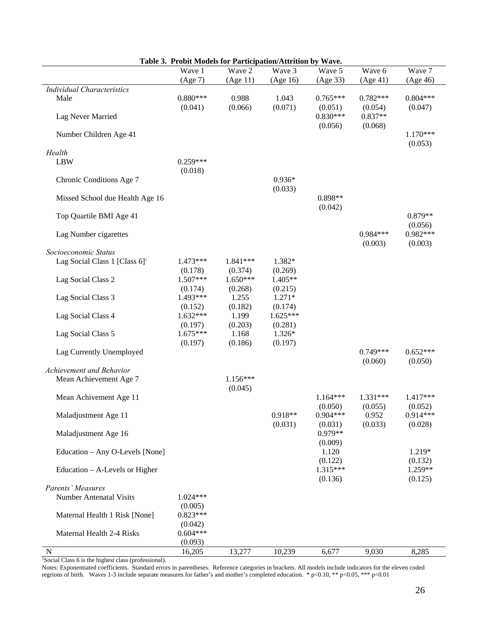|                                           | Wave 1                | Table 5. Trobit models for Tardelpation/Attribut by Wave.<br>Wave 2 | Wave 3            | Wave 5                           | Wave 6                          | Wave 7                |
|-------------------------------------------|-----------------------|---------------------------------------------------------------------|-------------------|----------------------------------|---------------------------------|-----------------------|
|                                           | (Age 7)               | (Age 11)                                                            | (Age 16)          | (Age 33)                         | (Age 41)                        | (Age 46)              |
| <b>Individual Characteristics</b>         |                       |                                                                     |                   |                                  |                                 |                       |
| Male                                      | $0.880***$            | 0.988                                                               | 1.043             | $0.765***$                       | $0.782***$                      | $0.804***$            |
| Lag Never Married                         | (0.041)               | (0.066)                                                             | (0.071)           | (0.051)<br>$0.830***$<br>(0.056) | (0.054)<br>$0.837**$<br>(0.068) | (0.047)               |
| Number Children Age 41                    |                       |                                                                     |                   |                                  |                                 | $1.170***$<br>(0.053) |
| Health                                    |                       |                                                                     |                   |                                  |                                 |                       |
| <b>LBW</b>                                | $0.259***$            |                                                                     |                   |                                  |                                 |                       |
|                                           | (0.018)               |                                                                     |                   |                                  |                                 |                       |
| Chronic Conditions Age 7                  |                       |                                                                     | $0.936*$          |                                  |                                 |                       |
|                                           |                       |                                                                     | (0.033)           |                                  |                                 |                       |
| Missed School due Health Age 16           |                       |                                                                     |                   | 0.898**                          |                                 |                       |
|                                           |                       |                                                                     |                   | (0.042)                          |                                 |                       |
| Top Quartile BMI Age 41                   |                       |                                                                     |                   |                                  |                                 | $0.879**$             |
|                                           |                       |                                                                     |                   |                                  | $0.984***$                      | (0.056)<br>0.982***   |
| Lag Number cigarettes                     |                       |                                                                     |                   |                                  | (0.003)                         | (0.003)               |
| Socioeconomic Status                      |                       |                                                                     |                   |                                  |                                 |                       |
| Lag Social Class 1 [Class 6] <sup>1</sup> | 1.473***              | 1.841***                                                            | 1.382*            |                                  |                                 |                       |
|                                           | (0.178)               | (0.374)                                                             | (0.269)           |                                  |                                 |                       |
| Lag Social Class 2                        | $1.507***$            | $1.650***$                                                          | 1.405**           |                                  |                                 |                       |
|                                           | (0.174)               | (0.268)                                                             | (0.215)           |                                  |                                 |                       |
| Lag Social Class 3                        | 1.493***              | 1.255                                                               | $1.271*$          |                                  |                                 |                       |
|                                           | (0.152)               | (0.182)                                                             | (0.174)           |                                  |                                 |                       |
| Lag Social Class 4                        | $1.632***$            | 1.199                                                               | $1.625***$        |                                  |                                 |                       |
|                                           | (0.197)<br>$1.675***$ | (0.203)                                                             | (0.281)           |                                  |                                 |                       |
| Lag Social Class 5                        | (0.197)               | 1.168<br>(0.186)                                                    | 1.326*<br>(0.197) |                                  |                                 |                       |
| Lag Currently Unemployed                  |                       |                                                                     |                   |                                  | $0.749***$                      | $0.652***$            |
|                                           |                       |                                                                     |                   |                                  | (0.060)                         | (0.050)               |
| Achievement and Behavior                  |                       |                                                                     |                   |                                  |                                 |                       |
| Mean Achievement Age 7                    |                       | $1.156***$                                                          |                   |                                  |                                 |                       |
|                                           |                       | (0.045)                                                             |                   |                                  |                                 |                       |
| Mean Achivement Age 11                    |                       |                                                                     |                   | $1.164***$                       | 1.331***                        | 1.417***              |
|                                           |                       |                                                                     |                   | (0.050)                          | (0.055)                         | (0.052)               |
| Maladjustment Age 11                      |                       |                                                                     | 0.918**           | $0.904***$                       | 0.952                           | $0.914***$            |
|                                           |                       |                                                                     | (0.031)           | (0.031)<br>0.979**               | (0.033)                         | (0.028)               |
| Maladjustment Age 16                      |                       |                                                                     |                   |                                  |                                 |                       |
| Education - Any O-Levels [None]           |                       |                                                                     |                   | (0.009)<br>1.120                 |                                 | 1.219*                |
|                                           |                       |                                                                     |                   | (0.122)                          |                                 | (0.132)               |
| Education – A-Levels or Higher            |                       |                                                                     |                   | 1.315***                         |                                 | 1.259**               |
|                                           |                       |                                                                     |                   | (0.136)                          |                                 | (0.125)               |
| Parents' Measures                         |                       |                                                                     |                   |                                  |                                 |                       |
| <b>Number Antenatal Visits</b>            | $1.024***$            |                                                                     |                   |                                  |                                 |                       |
|                                           | (0.005)               |                                                                     |                   |                                  |                                 |                       |
| Maternal Health 1 Risk [None]             | $0.823***$            |                                                                     |                   |                                  |                                 |                       |
|                                           | (0.042)               |                                                                     |                   |                                  |                                 |                       |
| Maternal Health 2-4 Risks                 | $0.604***$            |                                                                     |                   |                                  |                                 |                       |
| N                                         | (0.093)<br>16,205     | 13,277                                                              | 10,239            | 6,677                            | 9,030                           | 8,285                 |
|                                           |                       |                                                                     |                   |                                  |                                 |                       |

|  |  |  | Table 3. Probit Models for Participation/Attrition by Wave. |  |
|--|--|--|-------------------------------------------------------------|--|
|--|--|--|-------------------------------------------------------------|--|

<sup>1</sup>Social Class 6 is the highest class (professional).

Notes: Exponentiated coefficients. Standard errors in parentheses. Reference categories in brackets. All models include indicators for the eleven coded regrions of birth. Waves 1-3 include separate measures for father's and mother's completed education. \* p<0.10, \*\* p<0.05, \*\*\* p<0.01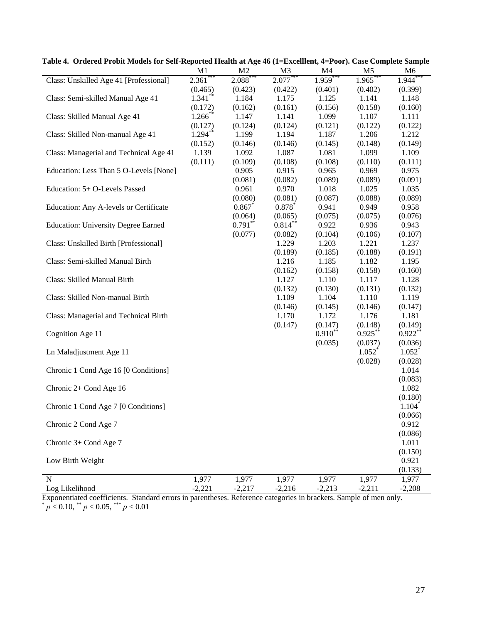| таже на Отцегей і гожі мойсія гог эсп-керогіси пеанн ат Аge <del>т</del> о (1–елейнені, <del>т</del> –г бог <i>). Са</i> зе сотірісне запіріс |            |                |                |            |                |                      |
|-----------------------------------------------------------------------------------------------------------------------------------------------|------------|----------------|----------------|------------|----------------|----------------------|
|                                                                                                                                               | M1         | M <sub>2</sub> | M <sub>3</sub> | M4         | M <sub>5</sub> | M6                   |
| Class: Unskilled Age 41 [Professional]                                                                                                        | $2.361***$ | $2.088***$     | $2.077***$     | $1.959***$ | $1.965***$     | $1.944$ <sup>*</sup> |
|                                                                                                                                               | (0.465)    | (0.423)        | (0.422)        | (0.401)    | (0.402)        | (0.399)              |
| Class: Semi-skilled Manual Age 41                                                                                                             | $1.341**$  | 1.184          | 1.175          | 1.125      | 1.141          | 1.148                |
|                                                                                                                                               | (0.172)    | (0.162)        | (0.161)        | (0.156)    | (0.158)        | (0.160)              |
| Class: Skilled Manual Age 41                                                                                                                  | $1.266$ ** | 1.147          | 1.141          | 1.099      | 1.107          | 1.111                |
|                                                                                                                                               | (0.127)    | (0.124)        | (0.124)        | (0.121)    | (0.122)        | (0.122)              |
| Class: Skilled Non-manual Age 41                                                                                                              | $1.294***$ | 1.199          | 1.194          | 1.187      | 1.206          | 1.212                |
|                                                                                                                                               | (0.152)    | (0.146)        | (0.146)        | (0.145)    | (0.148)        | (0.149)              |
| Class: Managerial and Technical Age 41                                                                                                        | 1.139      | 1.092          | 1.087          | 1.081      | 1.099          | 1.109                |
|                                                                                                                                               | (0.111)    | (0.109)        | (0.108)        | (0.108)    | (0.110)        | (0.111)              |
| Education: Less Than 5 O-Levels [None]                                                                                                        |            | 0.905          | 0.915          | 0.965      | 0.969          | 0.975                |
|                                                                                                                                               |            | (0.081)        |                |            |                |                      |
|                                                                                                                                               |            |                | (0.082)        | (0.089)    | (0.089)        | (0.091)              |
| Education: 5+ O-Levels Passed                                                                                                                 |            | 0.961          | 0.970          | 1.018      | 1.025          | 1.035                |
|                                                                                                                                               |            | (0.080)        | (0.081)        | (0.087)    | (0.088)        | (0.089)              |
| Education: Any A-levels or Certificate                                                                                                        |            | 0.867          | $0.878*$       | 0.941      | 0.949          | 0.958                |
|                                                                                                                                               |            | (0.064)        | (0.065)        | (0.075)    | (0.075)        | (0.076)              |
| <b>Education: University Degree Earned</b>                                                                                                    |            | $0.791***$     | $0.814***$     | 0.922      | 0.936          | 0.943                |
|                                                                                                                                               |            | (0.077)        | (0.082)        | (0.104)    | (0.106)        | (0.107)              |
| Class: Unskilled Birth [Professional]                                                                                                         |            |                | 1.229          | 1.203      | 1.221          | 1.237                |
|                                                                                                                                               |            |                | (0.189)        | (0.185)    | (0.188)        | (0.191)              |
| Class: Semi-skilled Manual Birth                                                                                                              |            |                | 1.216          | 1.185      | 1.182          | 1.195                |
|                                                                                                                                               |            |                | (0.162)        | (0.158)    | (0.158)        | (0.160)              |
| Class: Skilled Manual Birth                                                                                                                   |            |                | 1.127          | 1.110      | 1.117          | 1.128                |
|                                                                                                                                               |            |                | (0.132)        | (0.130)    | (0.131)        | (0.132)              |
| Class: Skilled Non-manual Birth                                                                                                               |            |                | 1.109          | 1.104      | 1.110          | 1.119                |
|                                                                                                                                               |            |                | (0.146)        | (0.145)    | (0.146)        | (0.147)              |
| Class: Managerial and Technical Birth                                                                                                         |            |                | 1.170          | 1.172      | 1.176          | 1.181                |
|                                                                                                                                               |            |                | (0.147)        | (0.147)    | (0.148)        | (0.149)              |
| Cognition Age 11                                                                                                                              |            |                |                | $0.910**$  | $0.925***$     | $0.922$ **           |
|                                                                                                                                               |            |                |                | (0.035)    | (0.037)        | (0.036)              |
| Ln Maladjustment Age 11                                                                                                                       |            |                |                |            | $1.052^*$      | $1.052^*$            |
|                                                                                                                                               |            |                |                |            | (0.028)        | (0.028)              |
| Chronic 1 Cond Age 16 [0 Conditions]                                                                                                          |            |                |                |            |                | 1.014                |
|                                                                                                                                               |            |                |                |            |                | (0.083)              |
| Chronic 2+ Cond Age 16                                                                                                                        |            |                |                |            |                | 1.082                |
|                                                                                                                                               |            |                |                |            |                |                      |
| Chronic 1 Cond Age 7 [0 Conditions]                                                                                                           |            |                |                |            |                | (0.180)<br>1.104     |
|                                                                                                                                               |            |                |                |            |                |                      |
|                                                                                                                                               |            |                |                |            |                | (0.066)              |
| Chronic 2 Cond Age 7                                                                                                                          |            |                |                |            |                | 0.912                |
|                                                                                                                                               |            |                |                |            |                | (0.086)              |
| Chronic 3+ Cond Age 7                                                                                                                         |            |                |                |            |                | 1.011                |
|                                                                                                                                               |            |                |                |            |                | (0.150)              |
| Low Birth Weight                                                                                                                              |            |                |                |            |                | 0.921                |
|                                                                                                                                               |            |                |                |            |                | (0.133)              |
| N                                                                                                                                             | 1,977      | 1,977          | 1,977          | 1,977      | 1,977          | 1,977                |
| Log Likelihood                                                                                                                                | $-2,221$   | $-2,217$       | $-2,216$       | $-2,213$   | $-2,211$       | $-2,208$             |

**Table 4. Ordered Probit Models for Self-Reported Health at Age 46 (1=Excelllent, 4=Poor). Case Complete Sample** 

Exponentiated coefficients. Standard errors in parentheses. Reference categories in brackets. Sample of men only.  $p < 0.10,$  \*\*  $p < 0.05,$  \*\*\*  $p < 0.01$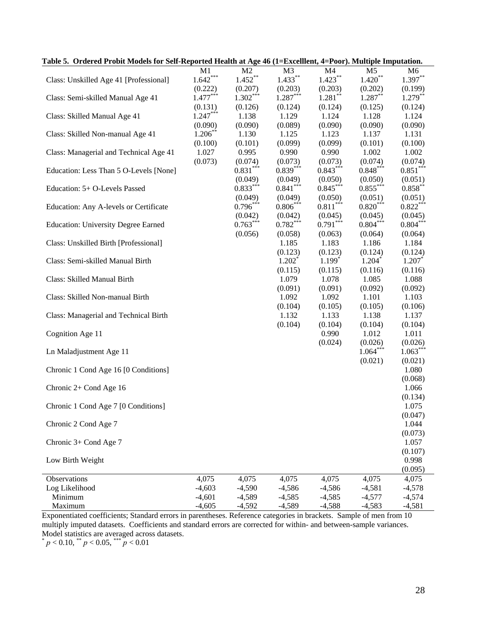| Table 5. Ordered Probit Models for Self-Reported Health at Age 46 (1=Excelllent, 4=Poor). Multiple Imputation. |            |                |            |            |            |            |
|----------------------------------------------------------------------------------------------------------------|------------|----------------|------------|------------|------------|------------|
|                                                                                                                | M1         | M <sub>2</sub> | M3         | M4         | M5         | M6         |
| Class: Unskilled Age 41 [Professional]                                                                         | $1.642***$ | $1.452***$     | $1.433***$ | $1.423***$ | $1.420**$  | $1.397**$  |
|                                                                                                                | (0.222)    | (0.207)        | (0.203)    | (0.203)    | (0.202)    | (0.199)    |
| Class: Semi-skilled Manual Age 41                                                                              | $1.477***$ | $1.302***$     | $1.287***$ | $1.281$ ** | $1.287**$  | $1.279***$ |
|                                                                                                                |            |                |            |            |            |            |
|                                                                                                                | (0.131)    | (0.126)        | (0.124)    | (0.124)    | (0.125)    | (0.124)    |
| Class: Skilled Manual Age 41                                                                                   | $1.247***$ | 1.138          | 1.129      | 1.124      | 1.128      | 1.124      |
|                                                                                                                | (0.090)    | (0.090)        | (0.089)    | (0.090)    | (0.090)    | (0.090)    |
| Class: Skilled Non-manual Age 41                                                                               | $1.206***$ | 1.130          | 1.125      | 1.123      | 1.137      | 1.131      |
|                                                                                                                | (0.100)    | (0.101)        | (0.099)    | (0.099)    | (0.101)    | (0.100)    |
| Class: Managerial and Technical Age 41                                                                         | 1.027      | 0.995          | 0.990      | 0.990      | 1.002      | 1.002      |
|                                                                                                                | (0.073)    | (0.074)        | (0.073)    | (0.073)    | (0.074)    | (0.074)    |
| Education: Less Than 5 O-Levels [None]                                                                         |            | $0.831***$     | $0.839***$ | $0.843***$ | $0.848***$ | $0.851***$ |
|                                                                                                                |            | (0.049)        | (0.049)    | (0.050)    | (0.050)    | (0.051)    |
| Education: 5+ O-Levels Passed                                                                                  |            | $0.833***$     | $0.841***$ | $0.845***$ | $0.855***$ | $0.858***$ |
|                                                                                                                |            |                |            |            |            |            |
|                                                                                                                |            | (0.049)        | (0.049)    | (0.050)    | (0.051)    | (0.051)    |
| Education: Any A-levels or Certificate                                                                         |            | $0.796***$     | $0.806***$ | $0.811***$ | $0.820***$ | $0.822***$ |
|                                                                                                                |            | (0.042)        | (0.042)    | (0.045)    | (0.045)    | (0.045)    |
| <b>Education: University Degree Earned</b>                                                                     |            | $0.763***$     | $0.782***$ | $0.791***$ | $0.804***$ | $0.804***$ |
|                                                                                                                |            | (0.056)        | (0.058)    | (0.063)    | (0.064)    | (0.064)    |
| Class: Unskilled Birth [Professional]                                                                          |            |                | 1.185      | 1.183      | 1.186      | 1.184      |
|                                                                                                                |            |                | (0.123)    | (0.123)    | (0.124)    | (0.124)    |
| Class: Semi-skilled Manual Birth                                                                               |            |                | $1.202^*$  | $1.199*$   | $1.204*$   | 1.207      |
|                                                                                                                |            |                | (0.115)    | (0.115)    | (0.116)    | (0.116)    |
|                                                                                                                |            |                |            |            |            |            |
| Class: Skilled Manual Birth                                                                                    |            |                | 1.079      | 1.078      | 1.085      | 1.088      |
|                                                                                                                |            |                | (0.091)    | (0.091)    | (0.092)    | (0.092)    |
| Class: Skilled Non-manual Birth                                                                                |            |                | 1.092      | 1.092      | 1.101      | 1.103      |
|                                                                                                                |            |                | (0.104)    | (0.105)    | (0.105)    | (0.106)    |
| Class: Managerial and Technical Birth                                                                          |            |                | 1.132      | 1.133      | 1.138      | 1.137      |
|                                                                                                                |            |                | (0.104)    | (0.104)    | (0.104)    | (0.104)    |
| Cognition Age 11                                                                                               |            |                |            | 0.990      | 1.012      | 1.011      |
|                                                                                                                |            |                |            | (0.024)    | (0.026)    | (0.026)    |
| Ln Maladjustment Age 11                                                                                        |            |                |            |            | $1.064***$ | $1.063***$ |
|                                                                                                                |            |                |            |            | (0.021)    | (0.021)    |
|                                                                                                                |            |                |            |            |            |            |
| Chronic 1 Cond Age 16 [0 Conditions]                                                                           |            |                |            |            |            | 1.080      |
|                                                                                                                |            |                |            |            |            | (0.068)    |
| Chronic 2+ Cond Age 16                                                                                         |            |                |            |            |            | 1.066      |
|                                                                                                                |            |                |            |            |            | (0.134)    |
| Chronic 1 Cond Age 7 [0 Conditions]                                                                            |            |                |            |            |            | 1.075      |
|                                                                                                                |            |                |            |            |            | (0.047)    |
| Chronic 2 Cond Age 7                                                                                           |            |                |            |            |            | 1.044      |
|                                                                                                                |            |                |            |            |            | (0.073)    |
| Chronic 3+ Cond Age 7                                                                                          |            |                |            |            |            | 1.057      |
|                                                                                                                |            |                |            |            |            | (0.107)    |
|                                                                                                                |            |                |            |            |            |            |
| Low Birth Weight                                                                                               |            |                |            |            |            | 0.998      |
|                                                                                                                |            |                |            |            |            | (0.095)    |
| Observations                                                                                                   | 4,075      | 4,075          | 4,075      | 4,075      | 4,075      | 4,075      |
| Log Likelihood                                                                                                 | $-4,603$   | $-4,590$       | $-4,586$   | $-4,586$   | $-4,581$   | $-4,578$   |
| Minimum                                                                                                        | $-4,601$   | $-4,589$       | $-4,585$   | $-4,585$   | $-4,577$   | $-4,574$   |
| Maximum                                                                                                        | $-4,605$   | $-4,592$       | $-4,589$   | $-4,588$   | $-4,583$   | $-4,581$   |

Exponentiated coefficients; Standard errors in parentheses. Reference categories in brackets. Sample of men from 10 multiply imputed datasets. Coefficients and standard errors are corrected for within- and between-sample variances. Model statistics are averaged across datasets.

 $p < 0.10$ ,  $p < 0.05$ ,  $p < 0.01$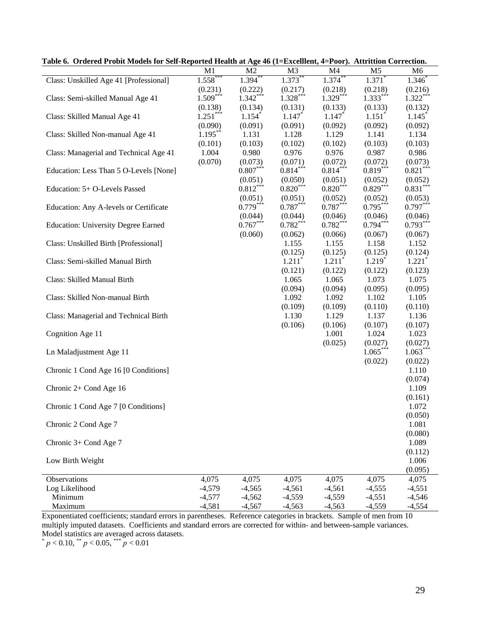|                                            | $\overline{a}$ and $\overline{a}$ |                      | $\mathbf{v}$ (1– $\mathbf{u}$ acchiche, |                      | $-1$ ool). Training correction. |                      |
|--------------------------------------------|-----------------------------------|----------------------|-----------------------------------------|----------------------|---------------------------------|----------------------|
|                                            | M <sub>1</sub>                    | M <sub>2</sub>       | M <sub>3</sub>                          | M <sub>4</sub>       | M <sub>5</sub>                  | M <sub>6</sub>       |
| Class: Unskilled Age 41 [Professional]     | $1.558***$                        | $1.394***$           | $1.373***$                              | $1.374***$           | $1.371$ <sup>*</sup>            | $1.346^*$            |
|                                            | (0.231)                           | (0.222)              | (0.217)                                 | (0.218)              | (0.218)                         | (0.216)              |
| Class: Semi-skilled Manual Age 41          | $1.509***$                        | $1.342***$           | $1.328***$                              | $1.329***$           | $1.333***$                      | $1.322***$           |
|                                            | (0.138)                           | (0.134)              | (0.131)                                 | (0.133)              | (0.133)                         | (0.132)              |
| Class: Skilled Manual Age 41               | $1.251***$                        | $1.154$ <sup>*</sup> | $1.147*$                                | $1.147*$             | $1.151$ <sup>*</sup>            | 1.145                |
|                                            | (0.090)                           | (0.091)              | (0.091)                                 | (0.092)              | (0.092)                         | (0.092)              |
| Class: Skilled Non-manual Age 41           | $1.195***$                        | 1.131                | 1.128                                   | 1.129                | 1.141                           | 1.134                |
|                                            |                                   |                      |                                         |                      |                                 |                      |
|                                            | (0.101)                           | (0.103)              | (0.102)                                 | (0.102)              | (0.103)                         | (0.103)              |
| Class: Managerial and Technical Age 41     | 1.004                             | 0.980                | 0.976                                   | 0.976                | 0.987                           | 0.986                |
|                                            | (0.070)                           | (0.073)              | (0.071)                                 | (0.072)              | (0.072)                         | (0.073)              |
| Education: Less Than 5 O-Levels [None]     |                                   | $0.807***$           | $0.814***$                              | $0.814***$           | $0.819***$                      | $0.821***$           |
|                                            |                                   | (0.051)              | (0.050)                                 | (0.051)              | (0.052)                         | (0.052)              |
| Education: 5+ O-Levels Passed              |                                   | $0.812***$           | $0.820***$                              | $0.820***$           | $0.829***$                      | $0.831***$           |
|                                            |                                   | (0.051)              | (0.051)                                 | (0.052)              | (0.052)                         | (0.053)              |
| Education: Any A-levels or Certificate     |                                   | $0.779***$           | $0.787***$                              | $0.787***$           | $0.795***$                      | $0.797***$           |
|                                            |                                   | (0.044)              | (0.044)                                 | (0.046)              | (0.046)                         | (0.046)              |
| <b>Education: University Degree Earned</b> |                                   | $0.767***$           | $0.782***$                              | $0.782***$           | $0.794***$                      | $0.793***$           |
|                                            |                                   | (0.060)              | (0.062)                                 | (0.066)              | (0.067)                         | (0.067)              |
| Class: Unskilled Birth [Professional]      |                                   |                      | 1.155                                   | 1.155                | 1.158                           | 1.152                |
|                                            |                                   |                      |                                         |                      |                                 |                      |
|                                            |                                   |                      | (0.125)                                 | (0.125)              | (0.125)                         | (0.124)              |
| Class: Semi-skilled Manual Birth           |                                   |                      | $1.211$ <sup>*</sup>                    | $1.211$ <sup>*</sup> | $1.219*$                        | $1.221$ <sup>*</sup> |
|                                            |                                   |                      | (0.121)                                 | (0.122)              | (0.122)                         | (0.123)              |
| Class: Skilled Manual Birth                |                                   |                      | 1.065                                   | 1.065                | 1.073                           | 1.075                |
|                                            |                                   |                      | (0.094)                                 | (0.094)              | (0.095)                         | (0.095)              |
| Class: Skilled Non-manual Birth            |                                   |                      | 1.092                                   | 1.092                | 1.102                           | 1.105                |
|                                            |                                   |                      | (0.109)                                 | (0.109)              | (0.110)                         | (0.110)              |
| Class: Managerial and Technical Birth      |                                   |                      | 1.130                                   | 1.129                | 1.137                           | 1.136                |
|                                            |                                   |                      | (0.106)                                 | (0.106)              | (0.107)                         | (0.107)              |
| Cognition Age 11                           |                                   |                      |                                         | 1.001                | 1.024                           | 1.023                |
|                                            |                                   |                      |                                         | (0.025)              | (0.027)                         | (0.027)              |
| Ln Maladjustment Age 11                    |                                   |                      |                                         |                      | $1.065***$                      | $1.063***$           |
|                                            |                                   |                      |                                         |                      | (0.022)                         | (0.022)              |
| Chronic 1 Cond Age 16 [0 Conditions]       |                                   |                      |                                         |                      |                                 | 1.110                |
|                                            |                                   |                      |                                         |                      |                                 | (0.074)              |
|                                            |                                   |                      |                                         |                      |                                 |                      |
| Chronic 2+ Cond Age 16                     |                                   |                      |                                         |                      |                                 | 1.109                |
|                                            |                                   |                      |                                         |                      |                                 | (0.161)              |
| Chronic 1 Cond Age 7 [0 Conditions]        |                                   |                      |                                         |                      |                                 | 1.072                |
|                                            |                                   |                      |                                         |                      |                                 | (0.050)              |
| Chronic 2 Cond Age 7                       |                                   |                      |                                         |                      |                                 | 1.081                |
|                                            |                                   |                      |                                         |                      |                                 | (0.080)              |
| Chronic 3+ Cond Age 7                      |                                   |                      |                                         |                      |                                 | 1.089                |
|                                            |                                   |                      |                                         |                      |                                 | (0.112)              |
| Low Birth Weight                           |                                   |                      |                                         |                      |                                 | 1.006                |
|                                            |                                   |                      |                                         |                      |                                 | (0.095)              |
| Observations                               | 4,075                             | 4,075                | 4,075                                   | 4,075                | 4,075                           | 4,075                |
| Log Likelihood                             | $-4,579$                          | $-4,565$             | $-4,561$                                | $-4,561$             | $-4,555$                        | $-4,551$             |
| Minimum                                    | $-4,577$                          | $-4,562$             | $-4,559$                                | $-4,559$             | $-4,551$                        | $-4,546$             |
| Maximum                                    | $-4,581$                          | $-4,567$             | $-4,563$                                | $-4,563$             | $-4,559$                        | $-4,554$             |
|                                            |                                   |                      |                                         |                      |                                 |                      |

**Table 6. Ordered Probit Models for Self-Reported Health at Age 46 (1=Excelllent, 4=Poor). Attrittion Correction.** 

Exponentiated coefficients; standard errors in parentheses. Reference categories in brackets. Sample of men from 10 multiply imputed datasets. Coefficients and standard errors are corrected for within- and between-sample variances. Model statistics are averaged across datasets.

 $p < 0.10,$  \*\*  $p < 0.05,$  \*\*\*  $p < 0.01$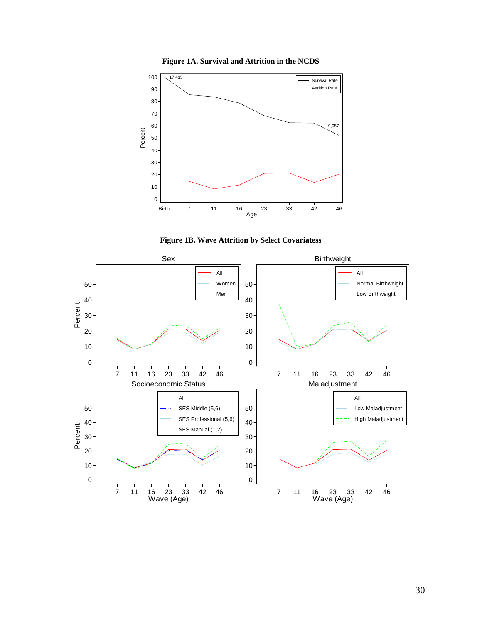**Figure 1A. Survival and Attrition in the NCDS** 





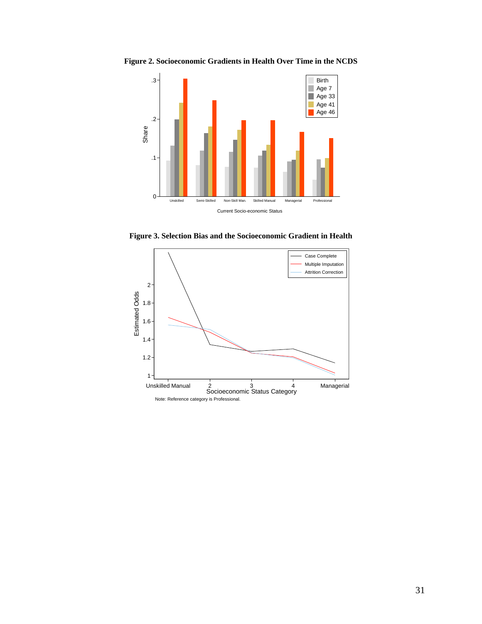**Figure 2. Socioeconomic Gradients in Health Over Time in the NCDS** 



**Figure 3. Selection Bias and the Socioeconomic Gradient in Health** 

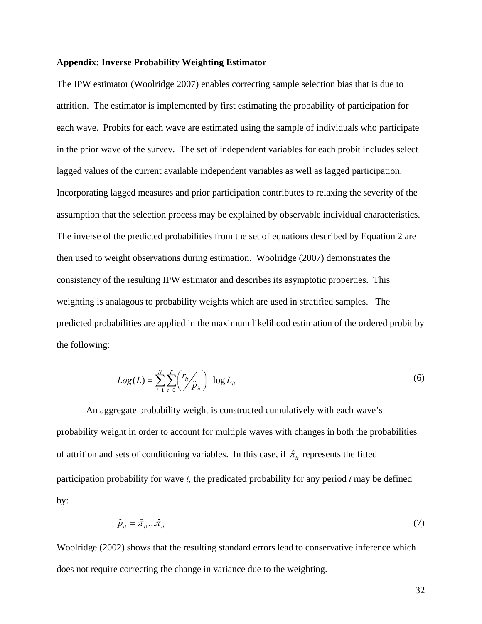# **Appendix: Inverse Probability Weighting Estimator**

The IPW estimator (Woolridge 2007) enables correcting sample selection bias that is due to attrition. The estimator is implemented by first estimating the probability of participation for each wave. Probits for each wave are estimated using the sample of individuals who participate in the prior wave of the survey. The set of independent variables for each probit includes select lagged values of the current available independent variables as well as lagged participation. Incorporating lagged measures and prior participation contributes to relaxing the severity of the assumption that the selection process may be explained by observable individual characteristics. The inverse of the predicted probabilities from the set of equations described by Equation 2 are then used to weight observations during estimation. Woolridge (2007) demonstrates the consistency of the resulting IPW estimator and describes its asymptotic properties. This weighting is analagous to probability weights which are used in stratified samples. The predicted probabilities are applied in the maximum likelihood estimation of the ordered probit by the following:

$$
Log(L) = \sum_{i=1}^{N} \sum_{t=0}^{T} \binom{r_{it}}{\hat{p}_{it}} \log L_{it}
$$
 (6)

An aggregate probability weight is constructed cumulatively with each wave's probability weight in order to account for multiple waves with changes in both the probabilities of attrition and sets of conditioning variables. In this case, if  $\hat{\pi}_{i}$  represents the fitted participation probability for wave *t,* the predicated probability for any period *t* may be defined by:

$$
\hat{p}_{it} = \hat{\pi}_{i1}...\hat{\pi}_{it} \tag{7}
$$

Woolridge (2002) shows that the resulting standard errors lead to conservative inference which does not require correcting the change in variance due to the weighting.